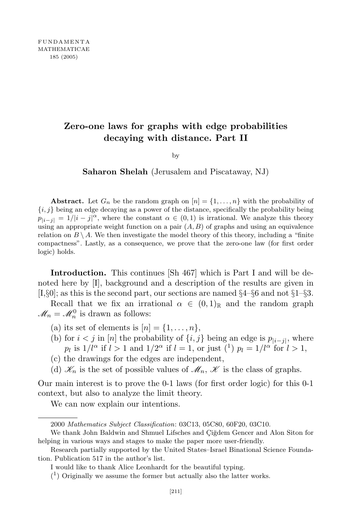## **Zero-one laws for graphs with edge probabilities decaying with distance. Part II**

by

**Saharon Shelah** (Jerusalem and Piscataway, NJ)

**Abstract.** Let  $G_n$  be the random graph on  $[n] = \{1, \ldots, n\}$  with the probability of  $\{i, j\}$  being an edge decaying as a power of the distance, specifically the probability being  $p_{|i-j|} = 1/|i-j|^\alpha$ , where the constant  $\alpha \in (0,1)$  is irrational. We analyze this theory using an appropriate weight function on a pair  $(A, B)$  of graphs and using an equivalence relation on  $B \setminus A$ . We then investigate the model theory of this theory, including a "finite" compactness". Lastly, as a consequence, we prove that the zero-one law (for first order logic) holds.

**Introduction.** This continues [Sh 467] which is Part I and will be denoted here by [I], background and a description of the results are given in [I,*§*0]; as this is the second part, our sections are named *§*4–*§*6 and not *§*1–*§*3.

Recall that we fix an irrational  $\alpha \in (0,1)_{\mathbb{R}}$  and the random graph  $\mathcal{M}_n = \mathcal{M}_n^0$  is drawn as follows:

(a) its set of elements is  $[n] = \{1, \ldots, n\},\$ 

- (b) for  $i < j$  in [*n*] the probability of  $\{i, j\}$  being an edge is  $p_{|i-j|}$ , where *p*<sub>*l*</sub> is  $1/l^{\alpha}$  if  $l > 1$  and  $1/2^{\alpha}$  if  $l = 1$ , or just  $\binom{1}{l}$  *p*<sub>*l*</sub> =  $1/l^{\alpha}$  for  $l > 1$ ,
- (c) the drawings for the edges are independent,
- (d)  $\mathcal{K}_n$  is the set of possible values of  $\mathcal{M}_n$ ,  $\mathcal{K}$  is the class of graphs.

Our main interest is to prove the 0-1 laws (for first order logic) for this 0-1 context, but also to analyze the limit theory.

We can now explain our intentions.

<sup>2000</sup> *Mathematics Subject Classification*: 03C13, 05C80, 60F20, 03C10.

We thank John Baldwin and Shmuel Lifsches and Ciğdem Gencer and Alon Siton for helping in various ways and stages to make the paper more user-friendly.

Research partially supported by the United States–Israel Binational Science Foundation. Publication 517 in the author's list.

I would like to thank Alice Leonhardt for the beautiful typing.

 $(1)$  Originally we assume the former but actually also the latter works.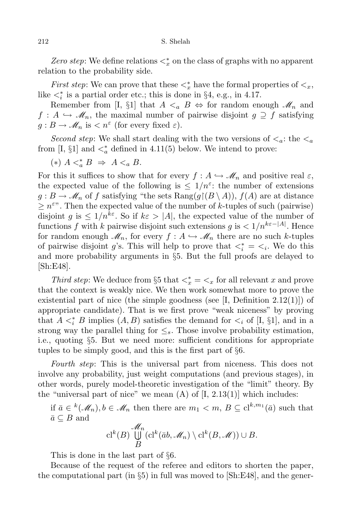*Zero step*: We define relations  $\lt^*_x$  on the class of graphs with no apparent relation to the probability side.

*First step*: We can prove that these  $\lt^*_x$  have the formal properties of  $\lt_x$ , like  $\langle \xi_i^* \rangle$  is a partial order etc.; this is done in §4, e.g., in 4.17.

Remember from [I, §1] that  $A \leq_a B \Leftrightarrow$  for random enough  $\mathcal{M}_n$  and  $f: A \hookrightarrow \mathcal{M}_n$ , the maximal number of pairwise disjoint  $g \supseteq f$  satisfying  $g: B \to \mathcal{M}_n$  is  $\lt n^{\varepsilon}$  (for every fixed  $\varepsilon$ ).

*Second step*: We shall start dealing with the two versions of  $\lt_a$ : the  $\lt_a$ from [I,  $\S1$ ] and  $\lt^*_{a}$  defined in 4.11(5) below. We intend to prove:

$$
(*) A <_a^* B \Rightarrow A <_a B.
$$

For this it suffices to show that for every  $f : A \hookrightarrow \mathscr{M}_n$  and positive real  $\varepsilon$ , the expected value of the following is  $\leq 1/n^{\epsilon}$ : the number of extensions  $g: B \to \mathcal{M}_n$  of *f* satisfying "the sets  $\text{Rang}(g \restriction (B \setminus A)), f(A)$  are at distance  $\geq n^{\varepsilon}$ . Then the expected value of the number of *k*-tuples of such (pairwise) disjoint *g* is  $\leq 1/n^{k\varepsilon}$ . So if  $k\varepsilon > |A|$ , the expected value of the number of functions *f* with *k* pairwise disjoint such extensions *g* is  $\langle 1/n^{k\varepsilon-|A|}$ . Hence for random enough  $\mathcal{M}_n$ , for every  $f: A \hookrightarrow \mathcal{M}_n$  there are no such *k*-tuples of pairwise disjoint *g*'s. This will help to prove that  $\langle \xi_i^* \rangle = \langle \xi_i \rangle$ . We do this and more probability arguments in *§*5. But the full proofs are delayed to [Sh:E48].

*Third step*: We deduce from §5 that  $\lt_x^* = \lt_x$  for all relevant *x* and prove that the context is weakly nice. We then work somewhat more to prove the existential part of nice (the simple goodness (see  $[I,$  Definition 2.12(1)]) of appropriate candidate). That is we first prove "weak niceness" by proving that  $A \leq_i^* B$  implies  $(A, B)$  satisfies the demand for  $\leq_i$  of [I, §1], and in a strong way the parallel thing for  $\leq_s$ . Those involve probability estimation, i.e., quoting *§*5. But we need more: sufficient conditions for appropriate tuples to be simply good, and this is the first part of *§*6.

*Fourth step*: This is the universal part from niceness. This does not involve any probability, just weight computations (and previous stages), in other words, purely model-theoretic investigation of the "limit" theory. By the "universal part of nice" we mean  $(A)$  of  $[I, 2.13(1)]$  which includes:

if  $\bar{a} \in {^k}(\mathcal{M}_n), b \in \mathcal{M}_n$  then there are  $m_1 < m, B \subseteq cl^{k,m_1}(\bar{a})$  such that  $\bar{a}$  ⊂ *B* and

$$
\text{cl}^k(B) \bigcup_{B}^{\mathcal{M}_n} (\text{cl}^k(\overline{a}b, \mathcal{M}_n) \setminus \text{cl}^k(B, \mathcal{M})) \cup B.
$$

This is done in the last part of *§*6.

Because of the request of the referee and editors to shorten the paper, the computational part (in *§*5) in full was moved to [Sh:E48], and the gener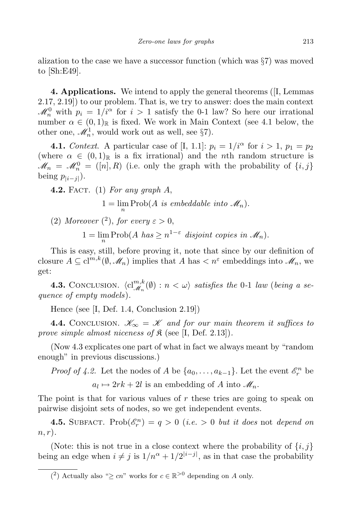alization to the case we have a successor function (which was *§*7) was moved to [Sh:E49].

**4. Applications.** We intend to apply the general theorems ([I, Lemmas 2.17, 2.19]) to our problem. That is, we try to answer: does the main context  $\mathscr{M}_n^0$  with  $p_i = 1/i^{\alpha}$  for  $i > 1$  satisfy the 0-1 law? So here our irrational number  $\alpha \in (0,1)_{\mathbb{R}}$  is fixed. We work in Main Context (see 4.1 below, the other one,  $\mathcal{M}_n^1$ , would work out as well, see §7).

**4.1.** *Context.* A particular case of [I, 1.1]:  $p_i = 1/i^\alpha$  for  $i > 1$ ,  $p_1 = p_2$ (where  $\alpha \in (0,1)_{\mathbb{R}}$  is a fix irrational) and the *n*th random structure is  $\mathcal{M}_n = \mathcal{M}_n^0 = ([n], R)$  (i.e. only the graph with the probability of  $\{i, j\}$  $\text{being } p_{|i-j|}$ ).

**4.2.** Fact. (1) *For any graph A*,

 $1 = \lim_{n} \text{Prob}(A \text{ is embeddable into } \mathcal{M}_n).$ 

(2) Moreover  $\binom{2}{1}$ , for every  $\varepsilon > 0$ ,

 $1 = \lim_{n} \text{Prob}(A \text{ has } \geq n^{1-\varepsilon} \text{ disjoint copies in } \mathcal{M}_n).$ 

This is easy, still, before proving it, note that since by our definition of closure  $A \subseteq \mathrm{cl}^{m,k}(\emptyset, \mathscr{M}_n)$  implies that  $A$  has  $\lt n^{\varepsilon}$  embeddings into  $\mathscr{M}_n$ , we get:

**4.3.** CONCLUSION.  $\langle cl_{\mathcal{M}_n}^{m,k}(\emptyset) : n < \omega \rangle$  satisfies the 0-1 *law* (*being a sequence of empty models*)*.*

Hence (see [I, Def. 1.4, Conclusion 2.19])

**4.4.** CONCLUSION.  $\mathcal{K}_{\infty} = \mathcal{K}$  and for our main theorem it suffices to *prove simple almost niceness of*  $\mathfrak{K}$  (see [I, Def. 2.13]).

(Now 4.3 explicates one part of what in fact we always meant by "random enough" in previous discussions.)

*Proof of 4.2.* Let the nodes of *A* be  $\{a_0, \ldots, a_{k-1}\}$ . Let the event  $\mathcal{E}_r^n$  be  $a_l \mapsto 2rk + 2l$  is an embedding of *A* into  $\mathcal{M}_n$ .

The point is that for various values of *r* these tries are going to speak on pairwise disjoint sets of nodes, so we get independent events.

**4.5.** SUBFACT. Prob $(\mathscr{E}_r^n) = q > 0$  (*i.e.* > 0 *but it does* not *depend on n, r*)*.*

(Note: this is not true in a close context where the probability of  $\{i, j\}$ being an edge when  $i \neq j$  is  $1/n^{\alpha} + 1/2^{|i-j|}$ , as in that case the probability

<sup>&</sup>lt;sup>(2</sup>) Actually also " $\geq cn$ " works for  $c \in \mathbb{R}^{>0}$  depending on *A* only.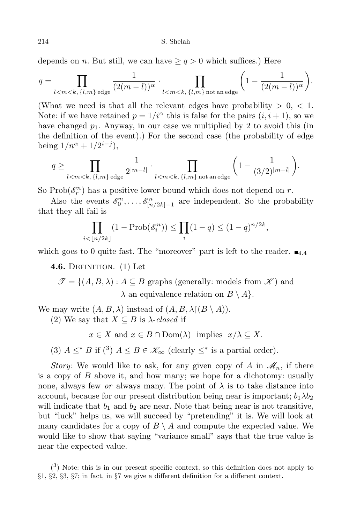depends on *n*. But still, we can have  $\geq q > 0$  which suffices.) Here

$$
q = \prod_{l < m < k, \{l, m\} \text{ edge}} \frac{1}{(2(m-l))^{\alpha}} \cdot \prod_{l < m < k, \{l, m\} \text{ not an edge}} \left(1 - \frac{1}{(2(m-l))^{\alpha}}\right).
$$

(What we need is that all the relevant edges have probability  $> 0, < 1$ . Note: if we have retained  $p = 1/i^{\alpha}$  this is false for the pairs  $(i, i + 1)$ , so we have changed  $p_1$ . Anyway, in our case we multiplied by 2 to avoid this (in the definition of the event).) For the second case (the probability of edge being  $1/n^{\alpha} + 1/2^{i-j}$ ,

$$
q \ge \prod_{l < m < k, \, \{l,m\} \text{ edge}} \frac{1}{2^{|m-l|}} \cdot \prod_{l < m < k, \, \{l,m\} \text{ not an edge}} \left(1 - \frac{1}{(3/2)^{|m-l|}}\right).
$$

So  $\text{Prob}(\mathcal{E}_r^n)$  has a positive lower bound which does not depend on *r*.

Also the events  $\mathcal{E}_0^n, \ldots, \mathcal{E}_{[n/2k]-1}^n$  are independent. So the probability that they all fail is

$$
\prod_{i < \lfloor n/2k \rfloor} (1 - \text{Prob}(\mathscr{E}_i^n)) \le \prod_i (1 - q) \le (1 - q)^{n/2k},
$$

which goes to 0 quite fast. The "moreover" part is left to the reader.  $\blacksquare$ <sub>4.4</sub>

**4.6.** Definition. (1) Let

 $\mathscr{T} = \{(A, B, \lambda) : A \subseteq B \text{ graphs (generally: models from } \mathscr{K}) \text{ and }$  $\lambda$  an equivalence relation on  $B \setminus A$ *.* 

We may write  $(A, B, \lambda)$  instead of  $(A, B, \lambda)(B \setminus A)$ .

(2) We say that  $X \subseteq B$  is  $\lambda$ -*closed* if

 $x \in X$  and  $x \in B \cap \text{Dom}(\lambda)$  implies  $x/\lambda \subseteq X$ .

(3)  $A \leq^* B$  if (<sup>3</sup>)  $A \leq B \in \mathcal{K}_{\infty}$  (clearly  $\leq^*$  is a partial order).

*Story*: We would like to ask, for any given copy of *A* in  $\mathcal{M}_n$ , if there is a copy of *B* above it, and how many; we hope for a dichotomy: usually none, always few *or* always many. The point of  $\lambda$  is to take distance into account, because for our present distribution being near is important;  $b_1 \lambda b_2$ will indicate that  $b_1$  and  $b_2$  are near. Note that being near is not transitive, but "luck" helps us, we will succeed by "pretending" it is. We will look at many candidates for a copy of  $B \setminus A$  and compute the expected value. We would like to show that saying "variance small" says that the true value is near the expected value.

 $(3)$  Note: this is in our present specific context, so this definition does not apply to *§*1, *§*2, *§*3, *§*7; in fact, in *§*7 we give a different definition for a different context.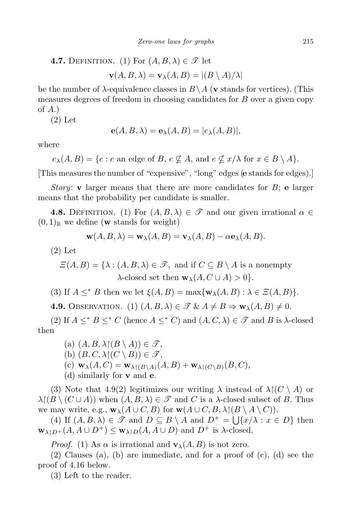**4.7.** DEFINITION. (1) For 
$$
(A, B, \lambda) \in \mathcal{T}
$$
 let  

$$
\mathbf{v}(A, B, \lambda) = \mathbf{v}_{\lambda}(A, B) = |(B \setminus A)/\lambda|
$$

be the number of *λ*-equivalence classes in *B\A* (**v** stands for vertices). (This measures degrees of freedom in choosing candidates for *B* over a given copy of *A*.)

(2) Let

$$
\mathbf{e}(A, B, \lambda) = \mathbf{e}_{\lambda}(A, B) = |e_{\lambda}(A, B)|,
$$

where

 $e_{\lambda}(A, B) = \{e : e \text{ an edge of } B, e \nsubseteq A, \text{ and } e \nsubseteq x/\lambda \text{ for } x \in B \setminus A\}.$ 

[This measures the number of "expensive", "long" edges (**e** stands for edges).]

*Story*: **v** larger means that there are more candidates for *B*; **e** larger means that the probability per candidate is smaller.

**4.8.** DEFINITION. (1) For  $(A, B, \lambda) \in \mathcal{T}$  and our given irrational  $\alpha \in \mathcal{T}$  $(0,1)_{\mathbb{R}}$  we define (**w** stands for weight)

$$
\mathbf{w}(A, B, \lambda) = \mathbf{w}_{\lambda}(A, B) = \mathbf{v}_{\lambda}(A, B) - \alpha \mathbf{e}_{\lambda}(A, B).
$$

(2) Let

$$
\mathcal{Z}(A,B) = \{ \lambda : (A,B,\lambda) \in \mathcal{F}, \text{ and if } C \subseteq B \setminus A \text{ is a nonempty } \}
$$
  

$$
\lambda\text{-closed set then } \mathbf{w}_{\lambda}(A,C \cup A) > 0 \}.
$$

(3) If  $A \leq^* B$  then we let  $\xi(A, B) = \max\{\mathbf{w}_\lambda(A, B) : \lambda \in \Xi(A, B)\}.$ 

**4.9.** OBSERVATION. (1)  $(A, B, \lambda) \in \mathcal{F} \& A \neq B \Rightarrow \mathbf{w}_{\lambda}(A, B) \neq 0.$ 

(2) If  $A \leq^* B \leq^* C$  (hence  $A \leq^* C$ ) and  $(A, C, \lambda) \in \mathcal{F}$  and B is  $\lambda$ -closed then

 $(a)$   $(A, B, \lambda)(B \setminus A)) \in \mathscr{T}$ , (b)  $(B, C, \lambda \upharpoonright (C \setminus B)) \in \mathcal{F}$ ,  $(\mathbf{c}) \mathbf{w}_{\lambda}(A, C) = \mathbf{w}_{\lambda \upharpoonright (B \setminus A)}(A, B) + \mathbf{w}_{\lambda \upharpoonright (C \setminus B)}(B, C),$ (d) similarly for **v** and **e**.

(3) Note that 4.9(2) legitimizes our writing  $\lambda$  instead of  $\lambda \restriction (C \setminus A)$  or  $λ$  $($ *B*  $\setminus$  (*C* ∪ *A*)) when  $(A, B, λ) ∈ \mathcal{F}$  and *C* is a  $λ$ -closed subset of *B*. Thus we may write, e.g.,  $\mathbf{w}_{\lambda}(A \cup C, B)$  for  $\mathbf{w}(A \cup C, B, \lambda)(B \setminus A \setminus C)$ .

(4) If  $(A, B, \lambda) \in \mathcal{F}$  and  $D \subseteq B \setminus A$  and  $D^+ = \bigcup \{x/\lambda : x \in D\}$  then  $\mathbf{w}_{\lambda \restriction D^+}(A, A \cup D^+) \leq \mathbf{w}_{\lambda \restriction D}(A, A \cup D)$  and  $D^+$  is  $\lambda$ -closed.

*Proof.* (1) As  $\alpha$  is irrational and  $\mathbf{v}_{\lambda}(A, B)$  is not zero.

(2) Clauses (a), (b) are immediate, and for a proof of (c), (d) see the proof of 4.16 below.

(3) Left to the reader.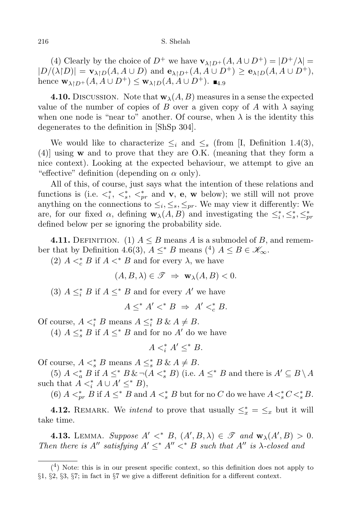(4) Clearly by the choice of  $D^+$  we have  $\mathbf{v}_{\lambda \upharpoonright D^+}(A, A \cup D^+) = |D^+/\lambda|$  $|D/(\lambda|D)| = \mathbf{v}_{\lambda|D}(A, A \cup D)$  and  $\mathbf{e}_{\lambda|D^+}(A, A \cup D^+) \geq \mathbf{e}_{\lambda|D}(A, A \cup D^+),$ hence  $\mathbf{w}_{\lambda}$ <sub>*ID*+</sub>(*A, A* ∪ *D*<sup>+</sup>) ≤  $\mathbf{w}_{\lambda}$ <sub>*ID*</sub>(*A, A* ∪ *D*<sup>+</sup>). ■<sub>4.9</sub>

**4.10.** DISCUSSION. Note that  $\mathbf{w}_{\lambda}(A, B)$  measures in a sense the expected value of the number of copies of *B* over a given copy of *A* with  $\lambda$  saying when one node is "near to" another. Of course, when  $\lambda$  is the identity this degenerates to the definition in [ShSp 304].

We would like to characterize  $\leq_i$  and  $\leq_s$  (from [I, Definition 1.4(3), (4)] using **w** and to prove that they are O.K. (meaning that they form a nice context). Looking at the expected behaviour, we attempt to give an "effective" definition (depending on *α* only).

All of this, of course, just says what the intention of these relations and functions is (i.e.  $\lt^*_i$ ,  $\lt^*_s$ ,  $\lt^*_{pr}$  and **v**, **e**, **w** below); we still will not prove anything on the connections to  $\leq_i, \leq_s, \leq_{pr}$ . We may view it differently: We are, for our fixed  $\alpha$ , defining  $\mathbf{w}_{\lambda}(A, B)$  and investigating the  $\leq_i^*, \leq_s^*, \leq_{pr}^*$ defined below per se ignoring the probability side.

**4.11.** DEFINITION. (1)  $A \leq B$  means *A* is a submodel of *B*, and remember that by Definition 4.6(3),  $A \leq^* B$  means (<sup>4</sup>)  $A \leq B \in \mathcal{K}_{\infty}$ .

(2)  $A \leq_c^* B$  if  $A \leq^* B$  and for every  $\lambda$ , we have

$$
(A, B, \lambda) \in \mathcal{T} \implies \mathbf{w}_{\lambda}(A, B) < 0.
$$

(3)  $A \leq_i^* B$  if  $A \leq^* B$  and for every  $A'$  we have

 $A \leq^* A' \leq^* B \Rightarrow A' \leq^* B.$ 

Of course,  $A \leq_i^* B$  means  $A \leq_i^* B \& A \neq B$ .

(4)  $A \leq_s^* B$  if  $A \leq^* B$  and for no  $A'$  do we have

$$
A \leq_i^* A' \leq^* B.
$$

Of course,  $A \leq_s^* B$  means  $A \leq_s^* B \& A \neq B$ .

(5)  $A \leq_a^* B$  if  $A \leq^* B \& \neg (A \leq_s^* B)$  (i.e.  $A \leq^* B$  and there is  $A' \subseteq B \setminus A$ such that  $A \leq_i^* A \cup A' \leq^* B$ ,

(6)  $A <^*_{pr} B$  if  $A \leq^* B$  and  $A <^*_{s} B$  but for no *C* do we have  $A <^*_{s} C <^*_{s} B$ .

**4.12.** REMARK. We *intend* to prove that usually  $\leq_x^* = \leq_x$  but it will take time.

**4.13.** LEMMA. *Suppose*  $A' <^* B$ ,  $(A', B, \lambda) \in \mathcal{F}$  and  $\mathbf{w}_{\lambda}(A', B) > 0$ . *Then there is*  $A''$  *satisfying*  $A' \leq^* A'' <^* B$  *such that*  $A''$  *is*  $\lambda$ -*closed and* 

 $(4)$  Note: this is in our present specific context, so this definition does not apply to *§*1, *§*2, *§*3, *§*7; in fact in *§*7 we give a different definition for a different context.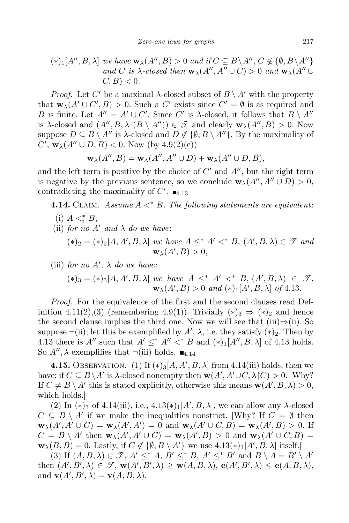$$
(*)_1[A'', B, \lambda] \text{ we have } \mathbf{w}_{\lambda}(A'', B) > 0 \text{ and if } C \subseteq B \setminus A'', C \notin \{ \emptyset, B \setminus A'' \}
$$
  
and C is  $\lambda$ -closed then  $\mathbf{w}_{\lambda}(A'', A'' \cup C) > 0$  and  $\mathbf{w}_{\lambda}(A'' \cup C, B) < 0$ .

*Proof.* Let *C'* be a maximal  $\lambda$ -closed subset of  $B \setminus A'$  with the property that  $\mathbf{w}_{\lambda}(A' \cup C', B) > 0$ . Such a  $C'$  exists since  $C' = \emptyset$  is as required and *B* is finite. Let  $A'' = A' \cup C'$ . Since *C'* is *λ*-closed, it follows that  $B \setminus A''$ is *λ*-closed and  $(A'', B, \lambda)(B \setminus A'') \in \mathcal{F}$  and clearly  $\mathbf{w}_{\lambda}(A'', B) > 0$ . Now suppose  $D \subseteq B \setminus A''$  is  $\lambda$ -closed and  $D \notin \{ \emptyset, B \setminus A'' \}$ . By the maximality of  $C'$ ,  $w_{\lambda}(A'' \cup D, B) < 0$ . Now (by 4.9(2)(c))

$$
\mathbf{w}_{\lambda}(A'',B)=\mathbf{w}_{\lambda}(A'',A''\cup D)+\mathbf{w}_{\lambda}(A''\cup D,B),
$$

and the left term is positive by the choice of *C ′* and *A′′*, but the right term is negative by the previous sentence, so we conclude  $\mathbf{w}_{\lambda}(A'', A'' \cup D) > 0$ , contradicting the maximality of  $C'$ .  $\blacksquare$ <sub>4.13</sub>

**4.14.** Claim. *Assume A <<sup>∗</sup> B. The following statements are equivalent*:

(i)  $A \leq_i^* B$ , (ii) *for no*  $A'$  *and*  $\lambda$  *do we have:*  $(*)_2 = (*)_2[A, A', B, \lambda]$  *we have*  $A \leq^* A' <^* B, (A', B, \lambda) \in \mathcal{F}$  *and*  $\mathbf{w}_{\lambda}(A',B) > 0,$ 

(iii) *for no A'*,  $\lambda$  *do we have:* 

$$
(*)_3 = (*)_3[A, A', B, \lambda] \text{ we have } A \leq^* A' <^* B, (A', B, \lambda) \in \mathcal{F},
$$
  

$$
\mathbf{w}_{\lambda}(A', B) > 0 \text{ and } (*)_1[A', B, \lambda] \text{ of 4.13.}
$$

*Proof.* For the equivalence of the first and the second clauses read Definition 4.11(2),(3) (remembering 4.9(1)). Trivially  $(*)_3 \Rightarrow (*)_2$  and hence the second clause implies the third one. Now we will see that (iii)*⇒*(ii). So suppose  $\neg$ (ii); let this be exemplified by  $A'$ ,  $\lambda$ , i.e. they satisfy  $(*)_2$ . Then by 4.13 there is  $A''$  such that  $A' \leq^* A'' <^* B$  and  $(*)_1[A'', B, \lambda]$  of 4.13 holds. So  $A''$ ,  $\lambda$  exemplifies that  $\neg$ (iii) holds.  $\blacksquare$ <sub>4.14</sub>

**4.15.** OBSERVATION. (1) If  $(*)_3[A, A', B, \lambda]$  from 4.14(iii) holds, then we have: if  $C \subseteq B \setminus A'$  is  $\lambda$ -closed nonempty then  $\mathbf{w}(A', A' \cup C, \lambda | C) > 0$ . [Why? If  $C \neq B \setminus A'$  this is stated explicitly, otherwise this means  $\mathbf{w}(A', B, \lambda) > 0$ , which holds.]

(2) In (\*)<sub>3</sub> of 4.14(iii), i.e.,  $4.13(*)$ <sub>1</sub>[*A'*, *B*, *λ*], we can allow any *λ*-closed  $C \subseteq B \setminus A'$  if we make the inequalities nonstrict. [Why? If  $C = \emptyset$  then  $\mathbf{w}_{\lambda}(A', A' \cup C) = \mathbf{w}_{\lambda}(A', A') = 0$  and  $\mathbf{w}_{\lambda}(A' \cup C, B) = \mathbf{w}_{\lambda}(A', B) > 0$ . If  $C = B \setminus A'$  then  $\mathbf{w}_{\lambda}(A', A' \cup C) = \mathbf{w}_{\lambda}(A', B) > 0$  and  $\mathbf{w}_{\lambda}(A' \cup C, B) =$  $\mathbf{w}_{\lambda}(B, B) = 0$ . Lastly, if  $C \notin \{ \emptyset, B \setminus A' \}$  we use  $4.13(*)$ <sub>1</sub>[ $A', B, \lambda$ ] itself.]

(3) If  $(A, B, \lambda) \in \mathcal{T}$ ,  $A' \leq^* A$ ,  $B' \leq^* B$ ,  $A' \leq^* B'$  and  $B \setminus A = B' \setminus A'$ then  $(A', B', \lambda) \in \mathcal{F}$ ,  $w(A', B', \lambda) \ge w(A, B, \lambda)$ ,  $e(A', B', \lambda) \le e(A, B, \lambda)$ , and  $\mathbf{v}(A', B', \lambda) = \mathbf{v}(A, B, \lambda).$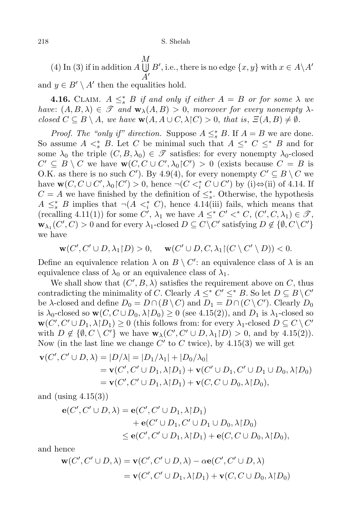218 S. Shelah

 $(A)$  In (3) if in addition *A*  $\bigcup B'$ , i.e., there is no edge  $\{x, y\}$  with  $x \in A \ A'$ *M A′* and  $y \in B' \setminus A'$  then the equalities hold.

**4.16.** CLAIM.  $A \leq^*_{s} B$  *if and only if either*  $A = B$  *or for some*  $\lambda$  *we have:*  $(A, B, \lambda) \in \mathcal{F}$  *and*  $\mathbf{w}_{\lambda}(A, B) > 0$ , *moreover for every nonempty*  $\lambda$ *closed*  $C \subseteq B \setminus A$ , *we have*  $\mathbf{w}(A, A \cup C, \lambda | C) > 0$ , *that is*,  $\Xi(A, B) \neq \emptyset$ *.* 

*Proof. The "only if" direction.* Suppose  $A \leq_s^* B$ . If  $A = B$  we are done. So assume  $A \leq^* B$ . Let *C* be minimal such that  $A \leq^* C \leq^* B$  and for some  $\lambda_0$  the triple  $(C, B, \lambda_0) \in \mathscr{T}$  satisfies: for every nonempty  $\lambda_0$ -closed  $C' \subseteq B \setminus C$  we have  $\mathbf{w}(C, C \cup C', \lambda_0 | C') > 0$  (exists because  $C = B$  is O.K. as there is no such *C*<sup> $\prime$ </sup>). By 4.9(4), for every nonempty  $C' \subseteq B \setminus C$  we have  $\mathbf{w}(C, C \cup C', \lambda_0 | C') > 0$ , hence  $\neg(C \leq_i^* C \cup C')$  by (i) $\Leftrightarrow$ (ii) of 4.14. If  $C = A$  we have finished by the definition of  $\leq^*_s$ . Otherwise, the hypothesis  $A \leq^*_{s} B$  implies that  $\neg(A \leq^*_{i} C)$ , hence 4.14(iii) fails, which means that  $(recalling 4.11(1))$  for some  $C'$ ,  $\lambda_1$  we have  $A \leq^* C' <^* C$ ,  $(C', C, \lambda_1) \in \mathcal{F}$ , **w**<sub> $\lambda_1$ </sub> (*C'*, *C*) > 0 and for every  $\lambda_1$ -closed  $D \subseteq C \setminus C'$  satisfying  $D \notin \{ \emptyset, C \setminus C' \}$ we have

$$
\mathbf{w}(C', C' \cup D, \lambda_1 \upharpoonright D) > 0, \quad \mathbf{w}(C' \cup D, C, \lambda_1 \upharpoonright (C \setminus C' \setminus D)) < 0.
$$

Define an equivalence relation  $\lambda$  on  $B \setminus C'$ : an equivalence class of  $\lambda$  is an equivalence class of  $\lambda_0$  or an equivalence class of  $\lambda_1$ .

We shall show that  $(C', B, \lambda)$  satisfies the requirement above on  $C$ , thus contradicting the minimality of *C*. Clearly  $A \leq^* C' \leq^* B$ . So let  $D \subseteq B \setminus C'$ be *λ*-closed and define  $D_0 = D \cap (B \setminus C)$  and  $D_1 = D \cap (C \setminus C')$ . Clearly  $D_0$ is  $\lambda_0$ -closed so  $\mathbf{w}(C, C \cup D_0, \lambda | D_0) \geq 0$  (see 4.15(2)), and  $D_1$  is  $\lambda_1$ -closed so  $\mathbf{w}(C', C' \cup D_1, \lambda | D_1) \geq 0$  (this follows from: for every  $\lambda_1$ -closed  $D \subseteq C \setminus C'$ with  $D \notin \{ \emptyset, C \setminus C' \}$  we have  $\mathbf{w}_{\lambda}(C', C' \cup D, \lambda_1 | D) > 0$ , and by 4.15(2)). Now (in the last line we change  $C'$  to  $C$  twice), by 4.15(3) we will get

$$
\mathbf{v}(C', C' \cup D, \lambda) = |D/\lambda| = |D_1/\lambda_1| + |D_0/\lambda_0|
$$
  
=  $\mathbf{v}(C', C' \cup D_1, \lambda | D_1) + \mathbf{v}(C' \cup D_1, C' \cup D_1 \cup D_0, \lambda | D_0)$   
=  $\mathbf{v}(C', C' \cup D_1, \lambda | D_1) + \mathbf{v}(C, C \cup D_0, \lambda | D_0),$ 

and (using 4.15(3))

$$
\begin{aligned} \mathbf{e}(C', C' \cup D, \lambda) &= \mathbf{e}(C', C' \cup D_1, \lambda \upharpoonright D_1) \\ &+ \mathbf{e}(C' \cup D_1, C' \cup D_1 \cup D_0, \lambda \upharpoonright D_0) \\ &\leq \mathbf{e}(C', C' \cup D_1, \lambda \upharpoonright D_1) + \mathbf{e}(C, C \cup D_0, \lambda \upharpoonright D_0), \end{aligned}
$$

and hence

$$
\mathbf{w}(C', C' \cup D, \lambda) = \mathbf{v}(C', C' \cup D, \lambda) - \alpha \mathbf{e}(C', C' \cup D, \lambda)
$$
  
=  $\mathbf{v}(C', C' \cup D_1, \lambda | D_1) + \mathbf{v}(C, C \cup D_0, \lambda | D_0)$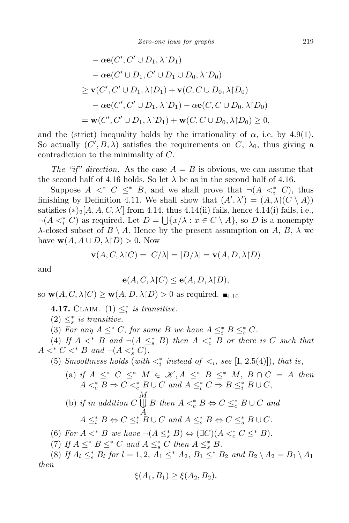$$
- \alpha \mathbf{e}(C', C' \cup D_1, \lambda | D_1)
$$
  
\n
$$
- \alpha \mathbf{e}(C' \cup D_1, C' \cup D_1 \cup D_0, \lambda | D_0)
$$
  
\n
$$
\geq \mathbf{v}(C', C' \cup D_1, \lambda | D_1) + \mathbf{v}(C, C \cup D_0, \lambda | D_0)
$$
  
\n
$$
- \alpha \mathbf{e}(C', C' \cup D_1, \lambda | D_1) - \alpha \mathbf{e}(C, C \cup D_0, \lambda | D_0)
$$
  
\n
$$
= \mathbf{w}(C', C' \cup D_1, \lambda | D_1) + \mathbf{w}(C, C \cup D_0, \lambda | D_0) \geq 0,
$$

and the (strict) inequality holds by the irrationality of  $\alpha$ , i.e. by 4.9(1). So actually  $(C', B, \lambda)$  satisfies the requirements on  $C, \lambda_0$ , thus giving a contradiction to the minimality of *C*.

*The "if" direction.* As the case  $A = B$  is obvious, we can assume that the second half of 4.16 holds. So let  $\lambda$  be as in the second half of 4.16.

Suppose  $A \leq^* C \leq^* B$ , and we shall prove that  $\neg(A \leq^* C)$ , thus finishing by Definition 4.11. We shall show that  $(A', \lambda') = (A, \lambda)(C \setminus A)$ satisfies  $(*)_2[A, A, C, \lambda']$  from 4.14, thus 4.14(ii) fails, hence 4.14(i) fails, i.e.,  $\neg(A \leq^*_i C)$  as required. Let  $D = \bigcup \{x/\lambda : x \in C \setminus A\}$ , so *D* is a nonempty *λ*-closed subset of *B*  $\setminus$  *A*. Hence by the present assumption on *A*, *B*, *λ* we have  $\mathbf{w}(A, A \cup D, \lambda | D) > 0$ . Now

$$
\mathbf{v}(A, C, \lambda | C) = |C/\lambda| = |D/\lambda| = \mathbf{v}(A, D, \lambda | D)
$$

and

$$
\mathbf{e}(A, C, \lambda \upharpoonright C) \le \mathbf{e}(A, D, \lambda \upharpoonright D),
$$

so  $\mathbf{w}(A, C, \lambda | C) \geq \mathbf{w}(A, D, \lambda | D) > 0$  as required.  $\blacksquare_{4,16}$ 

**4.17.** CLAIM. (1)  $\leq_i^*$  is transitive.

 $(2) \leq_s^*$  *is transitive.* 

(3) For any  $A \leq^* C$ , for some B we have  $A \leq^*_{i} B \leq^*_{s} C$ .

(4) If  $A \leq^* B$  and  $\neg(A \leq^* B)$  then  $A \leq^* c$  *B* or there is *C* such that *A*  $\lt^* C \lt^* B$  *and*  $\neg(A \lt^* S C)$ *.* 

(5) *Smoothness holds* (*with*  $\lt_i^*$  *instead of*  $\lt_i$ , *see* [I, 2.5(4)]), *that is*,

 $(A)$  *if*  $A \leq^* C \leq^* M \in \mathcal{K}, A \leq^* B \leq^* M, B \cap C = A$  *then*  $A \leq_c^* B \Rightarrow C \leq_c^* B \cup C$  and  $A \leq_c^* C \Rightarrow B \leq_c^* B \cup C$ , (b) *if in addition C M*  $\bigcup B$  *then A*  $\lt_c^*$  *B*  $\Leftrightarrow$  *C*  $\leq_c^*$  *B* ∪ *C and A*  $A \leq_i^* B \Leftrightarrow C \leq_i^* B \cup C \text{ and } A \leq_s^* B \Leftrightarrow C \leq_s^* B \cup C.$ 

(6) For 
$$
A \lt^* B
$$
 we have  $\neg(A \leq^*_s B) \Leftrightarrow (\exists C)(A \lt^*_c C \leq^* B)$ .

(7) If  $A \leq^* B \leq^* C$  and  $A \leq^* s C$  then  $A \leq^* s B$ .

(8) If  $A_l \leq_s^* B_l$  for  $l = 1, 2, A_1 \leq^* A_2, B_1 \leq^* B_2$  and  $B_2 \setminus A_2 = B_1 \setminus A_1$ *then*

$$
\xi(A_1, B_1) \ge \xi(A_2, B_2).
$$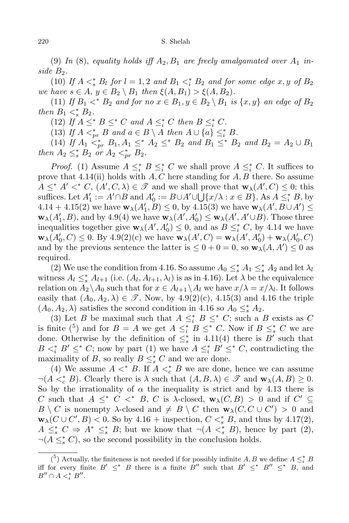(9) In (8), equality holds iff  $A_2, B_1$  are freely amalgamated over  $A_1$  in*side B*2*.*

(10) *If*  $A \leq_s^* B_l$  *for*  $l = 1, 2$  *and*  $B_1 \leq_s^* B_2$  *and for some edge*  $x, y$  *of*  $B_2$ *we have*  $s \in A$ ,  $y \in B_2 \setminus B_1$  *then*  $\xi(A, B_1) > \xi(A, B_2)$ *.* 

(11) *If*  $B_1 \lt^* B_2$  *and for no*  $x \in B_1, y \in B_2 \setminus B_1$  *is*  $\{x, y\}$  *an edge of*  $B_2$ *then*  $B_1 \lt^*_{s} B_2$ *.* 

(12) *If*  $A \leq^* B \leq^* C$  *and*  $A \leq^* C$  *then*  $B \leq^* C$ *.* 

(13) *If*  $A \leq_{pr}^* B$  *and*  $a \in B \setminus A$  *then*  $A \cup \{a\} \leq_i^* B$ .

(14) If  $A_1 \leq^*_{pr} B_1$ ,  $A_1 \leq^* A_2 \leq^* B_2$  and  $B_1 \leq^* B_2$  and  $B_2 = A_2 \cup B_1$ *then*  $A_2 \leq^*_{s} B_2$  *or*  $A_2 <^*_{pr} B_2$ *.* 

*Proof.* (1) Assume  $A \leq_i^* B \leq_i^* C$  we shall prove  $A \leq_i^* C$ . It suffices to prove that 4.14(ii) holds with *A, C* here standing for *A, B* there. So assume  $A \leq^* A' <^* C$ ,  $(A', C, \lambda) \in \mathcal{F}$  and we shall prove that  $\mathbf{w}_\lambda(A', C) \leq 0$ ; this suffices. Let  $A'_1 := A' \cap B$  and  $A'_0 := B \cup A' \cup \bigcup \{x/\lambda : x \in B\}$ . As  $A \leq_i^* B$ , by  $4.14 + 4.15(2)$  we have  $\mathbf{w}_{\lambda}(A'_{1}, B) \leq 0$ , by  $4.15(3)$  we have  $\mathbf{w}_{\lambda}(A', B \cup A') \leq 0$  $\mathbf{w}_{\lambda}(A'_{1}, B)$ , and by 4.9(4) we have  $\mathbf{w}_{\lambda}(A', A'_{0}) \leq \mathbf{w}_{\lambda}(A', A' \cup B)$ . Those three inequalities together give  $\mathbf{w}_{\lambda}(A', A'_{0}) \leq 0$ , and as  $B \leq i$  *C*, by 4.14 we have  $\mathbf{w}_{\lambda}(A'_{0}, C) \leq 0$ . By 4.9(2)(c) we have  $\mathbf{w}_{\lambda}(A', C) = \mathbf{w}_{\lambda}(A', A'_{0}) + \mathbf{w}_{\lambda}(A'_{0}, C)$ and by the previous sentence the latter is  $\leq 0 + 0 = 0$ , so  $\mathbf{w}_{\lambda}(A, A') \leq 0$  as required.

(2) We use the condition from 4.16. So assume  $A_0 \leq_s^* A_1 \leq_s^* A_2$  and let  $\lambda_l$ witness  $A_l \leq_s^* A_{l+1}$  (i.e.  $(A_l, A_{l+1}, \lambda_l)$ ) is as in 4.16). Let  $\lambda$  be the equivalence relation on  $A_2 \setminus A_0$  such that for  $x \in A_{l+1} \setminus A_l$  we have  $x/\lambda = x/\lambda_l$ . It follows easily that  $(A_0, A_2, \lambda) \in \mathcal{I}$ . Now, by 4.9(2)(c), 4.15(3) and 4.16 the triple  $(A_0, A_2, \lambda)$  satisfies the second condition in 4.16 so  $A_0 \leq_s^* A_2$ .

(3) Let *B* be maximal such that  $A \leq_i^* B \leq^* C$ ; such a *B* exists as *C* is finite  ${5 \choose 9}$  and for  $B = A$  we get  $A \leq_i^* B \leq^* C$ . Now if  $B \leq_s^* C$  we are done. Otherwise by the definition of  $\leq^*_s$  in 4.11(4) there is *B'* such that *B*  $\lt_i^*$  *B'*  $\leq^*$  *C*; now by part (1) we have  $A \leq^*_{i} B' \leq^* C$ , contradicting the maximality of *B*, so really  $B \leq_s^* C$  and we are done.

(4) We assume  $A \leq^* B$ . If  $A \leq^*_{c} B$  we are done, hence we can assume  $\neg(A \leq^*_{c} B)$ . Clearly there is  $\lambda$  such that  $(A, B, \lambda) \in \mathcal{F}$  and  $\mathbf{w}_{\lambda}(A, B) \geq 0$ . So by the irrationality of  $\alpha$  the inequality is strict and by 4.13 there is *C* such that  $A \leq^* C \leq^* B$ , *C* is  $\lambda$ -closed,  $\mathbf{w}_{\lambda}(C, B) > 0$  and if  $C' \subseteq$  $B \setminus C$  is nonempty *λ*-closed and  $\neq B \setminus C$  then  $\mathbf{w}_{\lambda}(C, C \cup C') > 0$  and  $\mathbf{w}_{\lambda}(C \cup C', B) < 0$ . So by 4.16 + inspection,  $C \lt^*_{s} B$ , and thus by 4.17(2),  $A \leq_s^* C \Rightarrow A^* \leq_s^* B$ ; but we know that  $\neg(A \leq_s^* B)$ , hence by part (2), *→*( $A \leq^*_{s} C$ ), so the second possibility in the conclusion holds.

<sup>&</sup>lt;sup>(5</sup>) Actually, the finiteness is not needed if for possibly infinite *A*, *B* we define  $A \leq_i^* B$ iff for every finite  $B' \leq^* B$  there is a finite  $B''$  such that  $B' \leq^* B'' \leq^* B$ , and  $B'' \cap A <^*_i B''$ .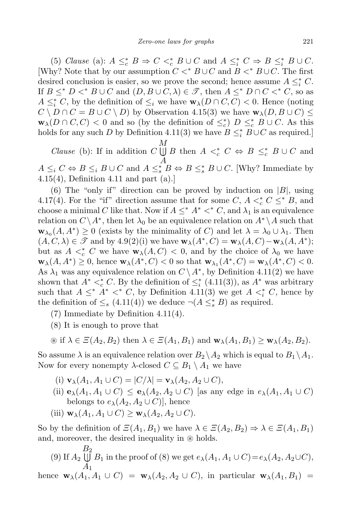(5) Clause (a):  $A \leq_c^* B \Rightarrow C \leq_c^* B \cup C$  and  $A \leq_c^* C \Rightarrow B \leq_c^* B \cup C$ . [Why? Note that by our assumption  $C \leq^* B \cup C$  and  $B \leq^* B \cup C$ . The first desired conclusion is easier, so we prove the second; hence assume  $A \leq_i^* C$ . If  $B \leq^* D \lt^* B \cup C$  and  $(D, B \cup C, \lambda) \in \mathcal{F}$ , then  $A \leq^* D \cap C \lt^* C$ , so as *A*  $\leq^*_i$  *C*, by the definition of  $\leq_i$  we have  $\mathbf{w}_\lambda(D \cap C, C) < 0$ . Hence (noting  $C \setminus D \cap C = B \cup C \setminus D$  by Observation 4.15(3) we have  $\mathbf{w}_{\lambda}(D, B \cup C) \leq$ **w**<sub> $\lambda$ </sub>( $D \cap C, C$ )  $\lt 0$  and so (by the definition of  $\leq_c^*$ )  $D \leq_c^* B \cup C$ . As this holds for any such *D* by Definition 4.11(3) we have  $B \leq_i^* B \cup C$  as required.]

*Clause* (b): If in addition *C M*  $\bigcup B$  then  $A \leq_c^* C \Leftrightarrow B \leq_c^* B \cup C$  and *A*  $A \leq_i C \Leftrightarrow B \leq_i B \cup C$  and  $A \leq_s^* B \Leftrightarrow B \leq_s^* B \cup C$ . [Why? Immediate by 4.15(4), Definition 4.11 and part (a).]

(6) The "only if" direction can be proved by induction on  $|B|$ , using 4.17(4). For the "if" direction assume that for some  $C, A <^*_c C \leq^* B$ , and choose a minimal *C* like that. Now if  $A \leq^* A^* \lt^* C$ , and  $\lambda_1$  is an equivalence relation on  $C \setminus A^*$ , then let  $\lambda_0$  be an equivalence relation on  $A^* \setminus A$  such that  $\mathbf{w}_{\lambda_0}(A, A^*) \geq 0$  (exists by the minimality of *C*) and let  $\lambda = \lambda_0 \cup \lambda_1$ . Then  $(A, C, \lambda) \in \mathcal{F}$  and by  $4.9(2)(i)$  we have  $\mathbf{w}_{\lambda}(A^*, C) = \mathbf{w}_{\lambda}(A, C) - \mathbf{w}_{\lambda}(A, A^*)$ ; but as  $A \leq_c^* C$  we have  $\mathbf{w}_{\lambda}(A, C) \leq 0$ , and by the choice of  $\lambda_0$  we have  $\mathbf{w}_{\lambda}(A, A^*) \geq 0$ , hence  $\mathbf{w}_{\lambda}(A^*, C) < 0$  so that  $\mathbf{w}_{\lambda_1}(A^*, C) = \mathbf{w}_{\lambda}(A^*, C) < 0$ . As  $\lambda_1$  was any equivalence relation on  $C \setminus A^*$ , by Definition 4.11(2) we have shown that  $A^* <^*_c C$ . By the definition of  $\leq^*_i (4.11(3))$ , as  $A^*$  was arbitrary such that  $A \leq^* A^* \leq^* C$ , by Definition 4.11(3) we get  $A \leq^* C$ , hence by the definition of  $\leq_s (4.11(4))$  we deduce  $\neg(A \leq_s^* B)$  as required.

- (7) Immediate by Definition 4.11(4).
- (8) It is enough to prove that

$$
\text{if } \lambda \in \Xi(A_2, B_2) \text{ then } \lambda \in \Xi(A_1, B_1) \text{ and } \mathbf{w}_{\lambda}(A_1, B_1) \geq \mathbf{w}_{\lambda}(A_2, B_2).
$$

So assume  $\lambda$  is an equivalence relation over  $B_2 \setminus A_2$  which is equal to  $B_1 \setminus A_1$ . Now for every nonempty  $\lambda$ -closed  $C \subseteq B_1 \setminus A_1$  we have

- (i)  $\mathbf{v}_{\lambda}(A_1, A_1 \cup C) = |C/\lambda| = \mathbf{v}_{\lambda}(A_2, A_2 \cup C),$
- (ii)  $\mathbf{e}_{\lambda}(A_1, A_1 \cup C) \leq \mathbf{e}_{\lambda}(A_2, A_2 \cup C)$  [as any edge in  $e_{\lambda}(A_1, A_1 \cup C)$ belongs to  $e_{\lambda}(A_2, A_2 \cup C)$ , hence
- (iii)  $\mathbf{w}_{\lambda}(A_1, A_1 \cup C) \geq \mathbf{w}_{\lambda}(A_2, A_2 \cup C)$ .

So by the definition of  $\mathcal{Z}(A_1, B_1)$  we have  $\lambda \in \mathcal{Z}(A_2, B_2) \Rightarrow \lambda \in \mathcal{Z}(A_1, B_1)$ and, moreover, the desired inequality in ⊛ holds.

 $(9)$  If  $A_2$ *B*  $\bigcup_{i=1}^{B_2} B_1$  in the proof of (8) we get  $e_{\lambda}(A_1, A_1 \cup C) = e_{\lambda}(A_2, A_2 \cup C)$ , *A*<sup>1</sup>

hence  $\mathbf{w}_{\lambda}(A_1, A_1 \cup C) = \mathbf{w}_{\lambda}(A_2, A_2 \cup C)$ , in particular  $\mathbf{w}_{\lambda}(A_1, B_1) =$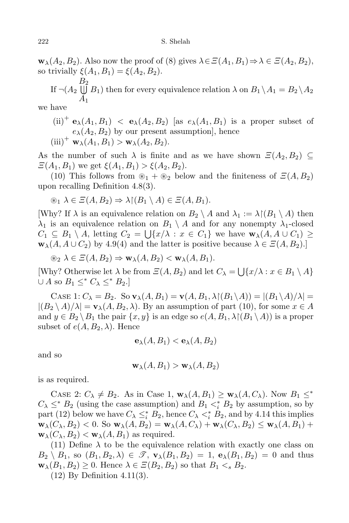$\mathbf{w}_{\lambda}(A_2, B_2)$ . Also now the proof of (8) gives  $\lambda \in \mathcal{Z}(A_1, B_1) \Rightarrow \lambda \in \mathcal{Z}(A_2, B_2)$ , so trivially  $\xi(A_1, B_1) = \xi(A_2, B_2)$ .

If  $\neg(A_2 \bigcup B_1)$  then for every equivalence relation  $\lambda$  on  $B_1 \setminus A_1 = B_2 \setminus A_2$ *B* 2 *A*<sup>1</sup>

we have

 $(ii)^+$  **e**<sub> $\lambda$ </sub>(*A*<sub>1</sub>*, B*<sub>1</sub>) *<* **e**<sub> $\lambda$ </sub>(*A*<sub>2</sub>*, B*<sub>2</sub>) [as *e*<sub> $\lambda$ </sub>(*A*<sub>1</sub>*, B*<sub>1</sub>) is a proper subset of  $e_{\lambda}(A_2, B_2)$  by our present assumption], hence (iii)<sup>+</sup> **w**<sub> $\lambda$ </sub>( $A_1, B_1$ ) > **w**<sub> $\lambda$ </sub>( $A_2, B_2$ ).

As the number of such  $\lambda$  is finite and as we have shown  $\Xi(A_2, B_2) \subseteq$  $\mathcal{Z}(A_1, B_1)$  we get  $\xi(A_1, B_1) > \xi(A_2, B_2)$ .

(10) This follows from  $\mathcal{L}_1 + \mathcal{L}_2$  below and the finiteness of  $\mathcal{Z}(A, B_2)$ upon recalling Definition 4.8(3).

$$
\circledast_1 \lambda \in \Xi(A, B_2) \Rightarrow \lambda \upharpoonright (B_1 \setminus A) \in \Xi(A, B_1).
$$

Why? If  $\lambda$  is an equivalence relation on  $B_2 \setminus A$  and  $\lambda_1 := \lambda \setminus (B_1 \setminus A)$  then  $\lambda_1$  is an equivalence relation on  $B_1 \setminus A$  and for any nonempty  $\lambda_1$ -closed  $C_1 \subseteq B_1 \setminus A$ , letting  $C_2 = \bigcup \{x/\lambda : x \in C_1\}$  we have  $\mathbf{w}_\lambda(A, A \cup C_1) \ge$  $\mathbf{w}_{\lambda}(A, A \cup C_2)$  by 4.9(4) and the latter is positive because  $\lambda \in \mathcal{Z}(A, B_2)$ .]

 $\circledast_2 \lambda \in \Xi(A, B_2) \Rightarrow \mathbf{w}_{\lambda}(A, B_2) < \mathbf{w}_{\lambda}(A, B_1).$ 

[Why? Otherwise let  $\lambda$  be from  $\Xi(A, B_2)$  and let  $C_{\lambda} = \bigcup \{x/\lambda : x \in B_1 \setminus A\}$  $∪$  *A* so *B*<sub>1</sub>  $≤$ <sup>*∗*</sup> *C*<sub>λ</sub>  $≤$ <sup>*∗*</sup> *B*<sub>2</sub>.]

 $\text{CASE 1: } C_{\lambda} = B_2. \text{ So } \mathbf{v}_{\lambda}(A, B_1) = \mathbf{v}(A, B_1, \lambda \mid (B_1 \setminus A)) = |(B_1 \setminus A)/\lambda| =$  $|(B_2 \setminus A)/\lambda| = \mathbf{v}_{\lambda}(A, B_2, \lambda)$ . By an assumption of part (10), for some  $x \in A$ and  $y \in B_2 \setminus B_1$  the pair  $\{x, y\}$  is an edge so  $e(A, B_1, \lambda | (B_1 \setminus A))$  is a proper subset of  $e(A, B_2, \lambda)$ . Hence

$$
\mathbf{e}_{\lambda}(A,B_1) < \mathbf{e}_{\lambda}(A,B_2)
$$

and so

$$
\mathbf{w}_{\lambda}(A, B_1) > \mathbf{w}_{\lambda}(A, B_2)
$$

is as required.

CASE 2:  $C_{\lambda} \neq B_2$ . As in Case 1,  $\mathbf{w}_{\lambda}(A, B_1) \geq \mathbf{w}_{\lambda}(A, C_{\lambda})$ . Now  $B_1 \leq^*$  $C_{\lambda} \leq^* B_2$  (using the case assumption) and  $B_1 \lt_i^* B_2$  by assumption, so by part (12) below we have  $C_{\lambda} \leq_i^* B_2$ , hence  $C_{\lambda} \leq_i^* B_2$ , and by 4.14 this implies  $\mathbf{w}_{\lambda}(C_{\lambda}, B_2) < 0$ . So  $\mathbf{w}_{\lambda}(A, B_2) = \mathbf{w}_{\lambda}(A, C_{\lambda}) + \mathbf{w}_{\lambda}(C_{\lambda}, B_2) \leq \mathbf{w}_{\lambda}(A, B_1) + \mathbf{w}_{\lambda}(C_{\lambda}, B_2)$  $\mathbf{w}_{\lambda}(C_{\lambda}, B_2) < \mathbf{w}_{\lambda}(A, B_1)$  as required.

(11) Define  $\lambda$  to be the equivalence relation with exactly one class on  $B_2 \setminus B_1$ , so  $(B_1, B_2, \lambda) \in \mathcal{I}$ ,  $\mathbf{v}_\lambda(B_1, B_2) = 1$ ,  $\mathbf{e}_\lambda(B_1, B_2) = 0$  and thus  $\mathbf{w}_{\lambda}(B_1, B_2) \geq 0$ . Hence  $\lambda \in \mathcal{Z}(B_2, B_2)$  so that  $B_1 \leq s B_2$ .

(12) By Definition 4.11(3).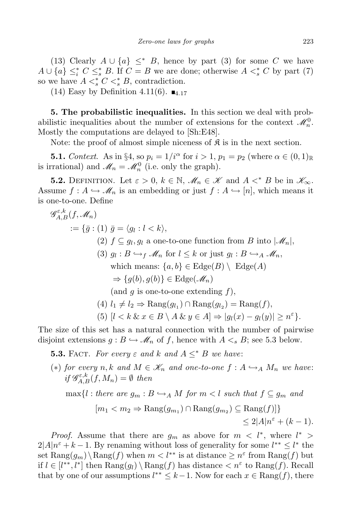(13) Clearly  $A \cup \{a\} \leq^* B$ , hence by part (3) for some C we have  $A \cup \{a\} \leq_i^* C \leq_s^* B$ . If  $C = B$  we are done; otherwise  $A \leq_s^* C$  by part (7) so we have  $A \leq^*_{s} C \leq^*_{s} B$ , contradiction.

(14) Easy by Definition 4.11(6).  $\blacksquare$ <sub>4.17</sub>

**5. The probabilistic inequalities.** In this section we deal with probabilistic inequalities about the number of extensions for the context  $\mathcal{M}_n^0$ . Mostly the computations are delayed to [Sh:E48].

Note: the proof of almost simple niceness of  $\mathfrak{K}$  is in the next section.

**5.1.** *Context.* As in §4, so  $p_i = 1/i^\alpha$  for  $i > 1$ ,  $p_1 = p_2$  (where  $\alpha \in (0, 1)_{\mathbb{R}}$ is irrational) and  $\mathcal{M}_n = \mathcal{M}_n^0$  (i.e. only the graph).

**5.2.** DEFINITION. Let  $\varepsilon > 0$ ,  $k \in \mathbb{N}$ ,  $\mathcal{M}_n \in \mathcal{K}$  and  $A \leq^* B$  be in  $\mathcal{K}_{\infty}$ . Assume  $f: A \hookrightarrow \mathcal{M}_n$  is an embedding or just  $f: A \hookrightarrow [n]$ , which means it is one-to-one. Define

$$
\mathscr{G}_{A,B}^{\varepsilon,k}(f, \mathscr{M}_n)
$$
  
\n
$$
:= \{ \bar{g} : (1) \ \bar{g} = \langle g_l : l < k \rangle,
$$
  
\n
$$
(2) \ f \subseteq g_l, g_l \text{ a one-to-one function from } B \text{ into } |\mathscr{M}_n|,
$$
  
\n
$$
(3) \ g_l : B \hookrightarrow_f \mathscr{M}_n \text{ for } l \leq k \text{ or just } g_l : B \hookrightarrow_A \mathscr{M}_n,
$$
  
\nwhich means:  $\{a, b\} \in \text{Edge}(B) \setminus \text{Edge}(A)$   
\n
$$
\Rightarrow \{g(b), g(b)\} \in \text{Edge}(\mathscr{M}_n)
$$
  
\n
$$
(\text{and } g \text{ is one-to-one extending } f),
$$
  
\n
$$
(4) \ l_1 \neq l_2 \Rightarrow \text{Rang}(g_{l_1}) \cap \text{Rang}(g_{l_2}) = \text{Rang}(f),
$$
  
\n
$$
(5) \ [l < k \ \& x \in B \setminus A \ \& y \in A] \Rightarrow |g_l(x) - g_l(y)| \geq n^{\varepsilon} \}.
$$

The size of this set has a natural connection with the number of pairwise disjoint extensions  $g : B \hookrightarrow \mathscr{M}_n$  of f, hence with  $A \leq s B$ ; see 5.3 below.

**5.3.** FACT. *For every*  $\varepsilon$  *and*  $k$  *and*  $A \leq^* B$  *we have:* 

(\*) *for every n,k* and  $M \in \mathcal{K}_n$  and one-to-one  $f : A \hookrightarrow_A M_n$  we have:  $if \mathcal{G}_{A,B}^{\varepsilon,k}(f, M_n) = \emptyset$  *then*  $\max\{l : \text{there are } g_m : B \hookrightarrow_A M \text{ for } m < l \text{ such that } f \subseteq g_m \text{ and } g_m \}$  $[m_1 < m_2 \Rightarrow \text{Rang}(g_{m_1}) \cap \text{Rang}(g_{m_2}) \subseteq \text{Rang}(f)]\}$  $\leq 2|A|n^{\varepsilon} + (k-1).$ 

*Proof.* Assume that there are  $g_m$  as above for  $m < l^*$ , where  $l^*$  $2|A|n^{\varepsilon} + k - 1$ . By renaming without loss of generality for some  $l^{**} \leq l^*$  the set  $\text{Rang}(g_m) \setminus \text{Rang}(f)$  when  $m < l^{**}$  is at distance  $\geq n^{\varepsilon}$  from  $\text{Rang}(f)$  but if  $l \in [l<sup>**</sup>, l<sup>∗</sup>]$  then  $\text{Rang}(g_l) \setminus \text{Rang}(f)$  has distance  $\lt n<sup>ε</sup>$  to  $\text{Rang}(f)$ . Recall that by one of our assumptions  $l^{**} \leq k-1$ . Now for each  $x \in \text{Rang}(f)$ , there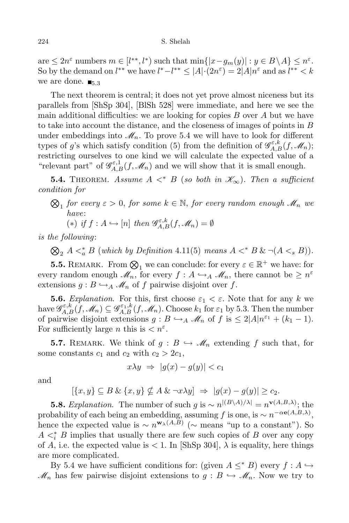$\text{are} \leq 2n^{\varepsilon}$  numbers  $m \in [l^{**}, l^* )$  such that  $\min\{|x - g_m(y)| : y \in B \setminus A\} \leq n^{\varepsilon}$ . So by the demand on  $l^{**}$  we have  $l^* - l^{**} \leq |A| \cdot (2n^{\varepsilon}) = 2|A| n^{\varepsilon}$  and as  $l^{**} < k$ we are done.  $\blacksquare$ <sub>5.3</sub>

The next theorem is central; it does not yet prove almost niceness but its parallels from [ShSp 304], [BlSh 528] were immediate, and here we see the main additional difficulties: we are looking for copies *B* over *A* but we have to take into account the distance, and the closeness of images of points in *B* under embeddings into  $\mathcal{M}_n$ . To prove 5.4 we will have to look for different types of *g*'s which satisfy condition (5) from the definition of  $\mathscr{G}_{A,B}^{\varepsilon,k}(f,\mathscr{M}_n)$ ; restricting ourselves to one kind we will calculate the expected value of a "relevant part" of  $\mathcal{G}_{A,B}^{\varepsilon,1}(f,\mathcal{M}_n)$  and we will show that it is small enough.

**5.4.** THEOREM. Assume  $A \leq^* B$  (so both in  $\mathscr{K}_{\infty}$ ). Then a sufficient *condition for*

 $\bigotimes_1$  *for every*  $\varepsilon > 0$ , *for some*  $k \in \mathbb{N}$ , *for every random enough*  $\mathscr{M}_n$  *we have*:

(\*) if 
$$
f : A \hookrightarrow [n]
$$
 then  $\mathcal{G}_{A,B}^{\varepsilon,k}(f, \mathcal{M}_n) = \emptyset$ 

*is the following*:

 $\bigotimes_2 A \leq_a^* B$  (which by Definition 4.11(5) means  $A \leq^* B \& \neg (A \leq_s B)$ ).

**5.5.** REMARK. From  $\bigotimes_1$  we can conclude: for every  $\varepsilon \in \mathbb{R}^+$  we have: for every random enough  $\mathscr{M}_n$ , for every  $f : A \hookrightarrow_A \mathscr{M}_n$ , there cannot be  $\geq n^{\varepsilon}$ extensions  $g : B \hookrightarrow_A \mathcal{M}_n$  of f pairwise disjoint over f.

**5.6.** *Explanation*. For this, first choose  $\varepsilon_1 < \varepsilon$ . Note that for any k we  $\deg_{A,B}^{\varepsilon,k}(f,\mathscr{M}_n) \subseteq \mathscr{G}_{A,B}^{\varepsilon_1,k}(f,\mathscr{M}_n)$ . Choose  $k_1$  for  $\varepsilon_1$  by 5.3. Then the number of pairwise disjoint extensions  $g : B \hookrightarrow_A \mathcal{M}_n$  of  $f$  is  $\leq 2|A|n^{\varepsilon_1} + (k_1 - 1)$ . For sufficiently large *n* this is  $\langle n^{\varepsilon} \rangle$ .

**5.7.** REMARK. We think of  $g : B \hookrightarrow M_n$  extending  $f$  such that, for some constants  $c_1$  and  $c_2$  with  $c_2 > 2c_1$ ,

$$
x\lambda y \Rightarrow |g(x) - g(y)| < c_1
$$

and

$$
[\{x,y\} \subseteq B \& \{x,y\} \nsubseteq A \& \neg x \lambda y] \Rightarrow |g(x) - g(y)| \ge c_2.
$$

**5.8.** *Explanation*. The number of such *g* is  $\sim n^{|(B \setminus A)/\lambda|} = n^{\mathbf{v}(A,B,\lambda)}$ ; the probability of each being an embedding, assuming *f* is one, is  $\sim n^{-\alpha e(A,B,\lambda)}$ , hence the expected value is  $\sim n^{\mathbf{w}_{\lambda}(A,B)}$  ( $\sim$  means "up to a constant"). So  $A \leq_i^* B$  implies that usually there are few such copies of *B* over any copy of *A*, i.e. the expected value is  $\lt 1$ . In [ShSp 304],  $\lambda$  is equality, here things are more complicated.

By 5.4 we have sufficient conditions for: (given  $A \leq^* B$ ) every  $f : A \hookrightarrow$  $\mathcal{M}_n$  has few pairwise disjoint extensions to  $g : B \hookrightarrow \mathcal{M}_n$ . Now we try to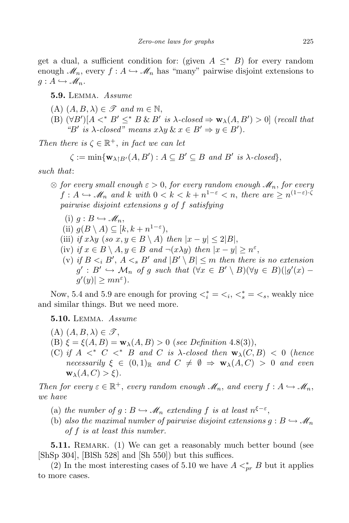get a dual, a sufficient condition for: (given  $A \leq^* B$ ) for every random enough  $\mathscr{M}_n$ , every  $f : A \hookrightarrow \mathscr{M}_n$  has "many" pairwise disjoint extensions to  $g: A \hookrightarrow \mathscr{M}_n$ .

**5.9.** Lemma. *Assume*

- $(A)$   $(A, B, \lambda) \in \mathscr{T}$  *and*  $m \in \mathbb{N}$ ,
- (B)  $(\forall B')[A \prec^* B' \leq^* B \& B'$  is  $\lambda$ -closed  $\Rightarrow$   $w_{\lambda}(A, B') > 0$  (recall that *"B' is*  $\lambda$ -*closed"* means  $x\lambda y \& x \in B' \Rightarrow y \in B'$ ).

*Then there is*  $\zeta \in \mathbb{R}^+$ , *in fact we can let* 

$$
\zeta := \min \{ \mathbf{w}_{\lambda \upharpoonright B'}(A, B') : A \subseteq B' \subseteq B \text{ and } B' \text{ is } \lambda \text{-closed} \},
$$

*such that*:

- $\otimes$  *for every small enough*  $ε$  > 0, *for every random enough*  $\mathcal{M}_n$ , *for every*  $f: A \hookrightarrow \mathscr{M}_n$  and  $k$  with  $0 < k < k + n^{1-\varepsilon} < n$ , there are  $\geq n^{(1-\varepsilon)\cdot\zeta}$ *pairwise disjoint extensions g of f satisfying*
	- $(i)$   $q: B \hookrightarrow \mathscr{M}_n$ ,
	- (ii)  $g(B \setminus A) \subseteq [k, k + n^{1-\varepsilon}),$
	- (iii) *if*  $x\lambda y$  (*so*  $x, y \in B \setminus A$ ) *then*  $|x-y| \leq 2|B|$ ,
	- (iv) *if*  $x \in B \setminus A, y \in B$  *and*  $\neg(x\lambda y)$  *then*  $|x y| \geq n^{\varepsilon}$ ,
	- (v) *if*  $B \leq_i B'$ ,  $A \leq_s B'$  *and*  $|B' \setminus B| \leq m$  *then there is no extension*  $g': B' \hookrightarrow \mathcal{M}_n$  of g such that  $(\forall x \in B' \setminus B)(\forall y \in B)(|g'(x)$  $g'(y)| \geq mn^{\varepsilon}$ ).

Now, 5.4 and 5.9 are enough for proving  $\langle \xi_i^* \rangle = \langle \xi_i, \xi_s^* \rangle = \langle \xi_s, \text{ weakly nice}$ and similar things. But we need more.

**5.10.** Lemma. *Assume*

- $(A)$   $(A, B, \lambda) \in \mathscr{T}$ ,
- (B)  $\xi = \xi(A, B) = \mathbf{w}_{\lambda}(A, B) > 0$  (*see Definition* 4.8(3)),
- (C) *if A <<sup>∗</sup> C <<sup>∗</sup> B and C is λ-closed then* **w***λ*(*C, B*) *<* 0 (*hence necessarily*  $\xi \in (0,1)$ <sub>R</sub> *and*  $C \neq \emptyset \Rightarrow \mathbf{w}_{\lambda}(A,C) > 0$  *and even*  $\mathbf{w}_{\lambda}(A, C) > \xi$ ).

*Then for every*  $\varepsilon \in \mathbb{R}^+$ , *every random enough*  $\mathcal{M}_n$ , *and every*  $f : A \hookrightarrow \mathcal{M}_n$ , *we have*

- (a) *the number of*  $g : B \hookrightarrow M_n$  *extending*  $f$  *is at least*  $n^{\xi \varepsilon}$ ,
- (b) also the maximal number of pairwise disjoint extensions  $g : B \hookrightarrow M_n$ *of f is at least this number.*

**5.11.** REMARK. (1) We can get a reasonably much better bound (see [ShSp 304], [BlSh 528] and [Sh 550]) but this suffices.

(2) In the most interesting cases of 5.10 we have  $A \lt^*_{pr} B$  but it applies to more cases.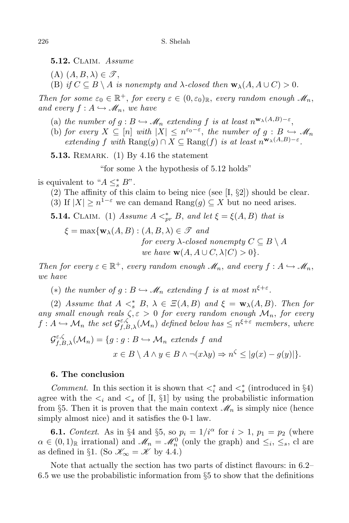**5.12.** Claim. *Assume*

- $(A)$   $(A, B, \lambda) \in \mathscr{T}$ ,
- (B) *if*  $C \subseteq B \setminus A$  *is nonempty and*  $\lambda$ *-closed then*  $\mathbf{w}_{\lambda}(A, A \cup C) > 0$ *.*

*Then for some*  $\varepsilon_0 \in \mathbb{R}^+$ , *for every*  $\varepsilon \in (0, \varepsilon_0)_{\mathbb{R}}$ , *every random enough*  $\mathcal{M}_n$ , *and every*  $f: A \hookrightarrow M_n$ *, we have* 

- (a) *the number of*  $g : B \hookrightarrow \mathcal{M}_n$  *extending*  $f$  *is at least*  $n^{\mathbf{w}_\lambda(A,B)-\varepsilon}$ ,
- (b) *for every*  $X \subseteq [n]$  *with*  $|X| \leq n^{\varepsilon_0 \varepsilon}$ , *the number of*  $g : B \hookrightarrow \mathcal{M}_n$  $\mathbb{R}^n$  *extending*  $f$  *with*  $\text{Rang}(g) \cap X \subseteq \text{Rang}(f)$  *is at least*  $n^{\mathbf{w}_\lambda(A,B)-\varepsilon}$ .

**5.13.** REMARK. (1) By 4.16 the statement

"for some  $\lambda$  the hypothesis of 5.12 holds"

is equivalent to " $A \leq_s^* B$ ".

- (2) The affinity of this claim to being nice (see [I, *§*2]) should be clear.
- (3) If  $|X| \ge n^{1-\epsilon}$  we can demand Rang $(g) \subseteq X$  but no need arises.
- **5.14.** CLAIM. (1) *Assume*  $A \leq^*_{pr} B$ , and let  $\xi = \xi(A, B)$  that is

 $\xi = \max\{\mathbf{w}_{\lambda}(A, B) : (A, B, \lambda) \in \mathcal{F} \text{ and }$ *for every*  $\lambda$ -*closed nonempty*  $C \subseteq B \setminus A$ *we have*  $\mathbf{w}(A, A \cup C, \lambda \cap C) > 0$ .

*Then for every*  $\varepsilon \in \mathbb{R}^+$ , *every random enough*  $\mathcal{M}_n$ , *and every*  $f : A \hookrightarrow \mathcal{M}_n$ , *we have*

(\*) *the number of*  $g : B \hookrightarrow \mathcal{M}_n$  *extending*  $f$  *is at most*  $n^{\xi+\varepsilon}$ *.* 

(2) *Assume that*  $A \leq^*_{s} B$ ,  $\lambda \in \Xi(A, B)$  *and*  $\xi = \mathbf{w}_{\lambda}(A, B)$ *. Then for any small enough reals*  $\zeta$ ,  $\varepsilon > 0$  *for every random enough*  $\mathcal{M}_n$ , *for every*  $f: A \hookrightarrow \mathcal{M}_n$  *the set*  $\mathcal{G}_{f,B,\lambda}^{\varepsilon,\zeta}(\mathcal{M}_n)$  *defined below has*  $\leq n^{\xi+\varepsilon}$  *members, where* 

$$
\mathcal{G}_{f,B,\lambda}^{\varepsilon,\zeta}(\mathcal{M}_n) = \{ g : g : B \hookrightarrow \mathcal{M}_n \text{ extends } f \text{ and}
$$

$$
x \in B \setminus A \land y \in B \land \neg(x\lambda y) \Rightarrow n^{\zeta} \le |g(x) - g(y)| \}.
$$

## **6. The conclusion**

*Comment*. In this section it is shown that  $\lt_i^*$  and  $\lt_i^*$  (introduced in §4) agree with the  $\lt_i$  and  $\lt_s$  of [I, §1] by using the probabilistic information from §5. Then it is proven that the main context  $\mathcal{M}_n$  is simply nice (hence simply almost nice) and it satisfies the 0-1 law.

**6.1.** *Context.* As in §4 and §5, so  $p_i = 1/i^\alpha$  for  $i > 1$ ,  $p_1 = p_2$  (where  $\alpha \in (0,1)$ <sub>R</sub> irrational) and  $\mathcal{M}_n = \mathcal{M}_n^0$  (only the graph) and  $\leq_i$ ,  $\leq_s$ , cl are as defined in §1. (So  $\mathcal{K}_{\infty} = \mathcal{K}$  by 4.4.)

Note that actually the section has two parts of distinct flavours: in 6.2– 6.5 we use the probabilistic information from *§*5 to show that the definitions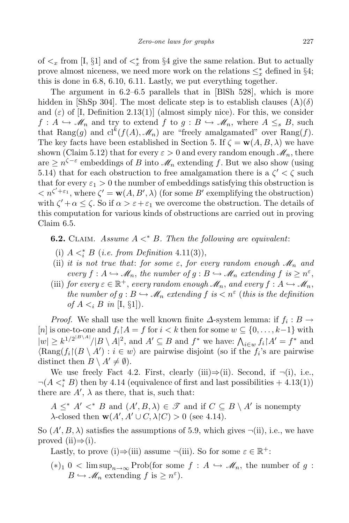of  $\lt_x$  from [I, §1] and of  $\lt_x^*$  from §4 give the same relation. But to actually prove almost niceness, we need more work on the relations  $\leq^*_x$  defined in §4; this is done in 6.8, 6.10, 6.11. Lastly, we put everything together.

The argument in 6.2–6.5 parallels that in [BlSh 528], which is more hidden in [ShSp 304]. The most delicate step is to establish clauses  $(A)(\delta)$ and  $(\varepsilon)$  of [I, Definition 2.13(1)] (almost simply nice). For this, we consider  $f: A \hookrightarrow M_n$  and try to extend  $f$  to  $g: B \hookrightarrow M_n$ , where  $A \leq_s B$ , such that  $\text{Rang}(g)$  and  $\text{cl}^k(f(A), \mathcal{M}_n)$  are "freely amalgamated" over  $\text{Rang}(f)$ . The key facts have been established in Section 5. If  $\zeta = \mathbf{w}(A, B, \lambda)$  we have shown (Claim 5.12) that for every  $\varepsilon > 0$  and every random enough  $\mathcal{M}_n$ , there  $\alpha$  are  $\geq n^{\zeta - \varepsilon}$  embeddings of *B* into  $\mathcal{M}_n$  extending *f*. But we also show (using 5.14) that for each obstruction to free amalgamation there is a  $\zeta' < \zeta$  such that for every  $\varepsilon_1 > 0$  the number of embeddings satisfying this obstruction is  $\langle n \rangle^{C' + \varepsilon_1}$ , where  $\zeta' = \mathbf{w}(A, B', \lambda)$  (for some *B'* exemplifying the obstruction) with  $\zeta' + \alpha \leq \zeta$ . So if  $\alpha > \varepsilon + \varepsilon_1$  we overcome the obstruction. The details of this computation for various kinds of obstructions are carried out in proving Claim 6.5.

**6.2.** CLAIM. Assume  $A \leq^* B$ . Then the following are equivalent:

- (i)  $A \leq_i^* B$  (*i.e. from Definition* 4.11(3)),
- (ii) *it is not true that: for some*  $\varepsilon$ , *for every random enough*  $\mathcal{M}_n$  *and every*  $f: A \hookrightarrow \mathcal{M}_n$ , the number of  $g: B \hookrightarrow \mathcal{M}_n$  extending  $f$  is  $\geq n^{\varepsilon}$ ,
- (iii) *for every*  $\varepsilon \in \mathbb{R}^+$ , *every random enough*  $\mathscr{M}_n$ , *and every*  $f : A \hookrightarrow \mathscr{M}_n$ , *the number of*  $g : B \hookrightarrow M_n$  *extending*  $f$  *is*  $\lt n^{\varepsilon}$  (*this is the definition of*  $A \leq i$  *B in* [I,  $\S1$ ]).

*Proof.* We shall use the well known finite  $\Delta$ -system lemma: if  $f_i : B \to$  $[n]$  is one-to-one and  $f_i \upharpoonright A = f$  for  $i < k$  then for some  $w \subseteq \{0, \ldots, k-1\}$  with  $|w| \ge k^{1/2^{|B \setminus A|}}/|B \setminus A|^2$ , and  $A' \subseteq B$  and  $f^*$  we have:  $\bigwedge_{i \in w} f_i | A' = f^*$  and  $\langle \text{Rang}(f_i \mid (B \setminus A') : i \in w \rangle$  are pairwise disjoint (so if the  $f_i$ 's are pairwise distinct then  $B \setminus A' \neq \emptyset$ .

We use freely Fact 4.2. First, clearly (iii)*⇒*(ii). Second, if *¬*(i), i.e.,  $\neg(A <^*_i B)$  then by 4.14 (equivalence of first and last possibilities + 4.13(1)) there are  $A'$ ,  $\lambda$  as there, that is, such that:

 $A \leq^* A' <^* B$  and  $(A', B, \lambda) \in \mathcal{F}$  and if  $C \subseteq B \setminus A'$  is nonempty *λ*-closed then **w**( $A'$ ,  $A' \cup C$ ,  $\lambda \upharpoonright C$ ) > 0 (see 4.14).

So  $(A', B, \lambda)$  satisfies the assumptions of 5.9, which gives  $\neg$ (ii), i.e., we have proved (ii)*⇒*(i).

Lastly, to prove (i) $\Rightarrow$ (iii) assume  $\neg$ (iii). So for some  $\varepsilon \in \mathbb{R}^+$ :

 $(*)_1$  0 < lim sup<sub>n→∞</sub> Prob(for some  $f : A \hookrightarrow \mathcal{M}_n$ , the number of  $g : A \hookrightarrow \mathcal{M}_n$  $B \hookrightarrow \mathscr{M}_n$  extending  $f$  is  $\geq n^{\varepsilon}$ ).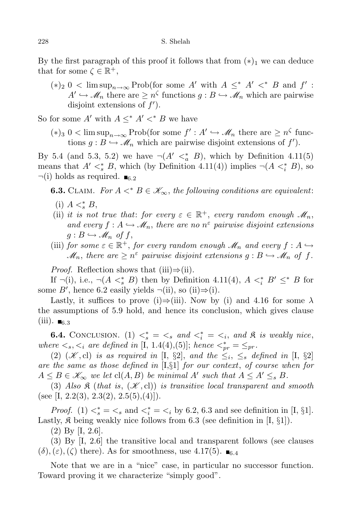By the first paragraph of this proof it follows that from  $(*)_1$  we can deduce that for some  $\zeta \in \mathbb{R}^+,$ 

 $(*)_2$  0 < lim sup<sub>n→∞</sub> Prob(for some *A'* with  $A \leq^* A' <^* B$  and  $f'$ :  $A' \hookrightarrow M_n$  there are  $\geq n^{\zeta}$  functions  $g : B \hookrightarrow M_n$  which are pairwise disjoint extensions of *f ′* ).

So for some *A'* with  $A \leq^* A' <^* B$  we have

 $(*)_3$  0 < lim sup<sub>n→∞</sub> Prob(for some  $f' : A' \hookrightarrow \mathcal{M}_n$  there are  $\geq n^{\zeta}$  functions  $g: B \hookrightarrow \mathcal{M}_n$  which are pairwise disjoint extensions of  $f'$ .

By 5.4 (and 5.3, 5.2) we have  $\neg(A' \lt^*_{a} B)$ , which by Definition 4.11(5) means that  $A' <^*_s B$ , which (by Definition 4.11(4)) implies  $\neg(A <^*_i B)$ , so  $\neg$ (i) holds as required.  $\blacksquare$ <sub>6.2</sub>

**6.3.** CLAIM. For  $A \leq^* B \in \mathcal{K}_{\infty}$ , the following conditions are equivalent:

- (i)  $A \leq s B$ ,
- (ii) *it is not true that: for every*  $\varepsilon \in \mathbb{R}^+$ , *every random enough*  $\mathcal{M}_n$ , *and every*  $f: A \hookrightarrow \mathcal{M}_n$ , there are no  $n^{\varepsilon}$  pairwise disjoint extensions  $g: B \hookrightarrow \mathscr{M}_n$  of  $f$ ,
- (iii) *for some*  $\varepsilon \in \mathbb{R}^+$ , *for every random enough*  $\mathcal{M}_n$  *and every*  $f : A \hookrightarrow$  $\mathcal{M}_n$ , there are  $\geq n^{\varepsilon}$  pairwise disjoint extensions  $g : B \hookrightarrow \mathcal{M}_n$  of  $f$ .

*Proof.* Reflection shows that (iii)*⇒*(ii).

If  $\neg(i)$ , i.e.,  $\neg(A \leq^*_{s} B)$  then by Definition 4.11(4),  $A \leq^*_{i} B' \leq^* B$  for some *B*<sup>*'*</sup>, hence 6.2 easily yields  $\neg$ (ii), so (ii) $\Rightarrow$ (i).

Lastly, it suffices to prove (i) $\Rightarrow$ (iii). Now by (i) and 4.16 for some  $\lambda$ the assumptions of 5.9 hold, and hence its conclusion, which gives clause  $(iii)$ .  $_{6.3}$ 

**6.4.** CONCLUSION. (1)  $\lt^*_s = \lt_s$  and  $\lt^*_i = \lt_i$ , and  $\mathfrak{K}$  is weakly nice, *where*  $\langle \xi, \xi \rangle$  *are defined in* [I, 1.4(4),(5)]; *hence*  $\langle \xi \rangle_{pr}^* = \langle \xi \rangle_{pr}$ .

(2)  $(\mathcal{K}, \text{cl})$  *is as required in* [I, §2], *and the*  $\leq_i$ ,  $\leq_s$  *defined in* [I, §2] *are the same as those defined in* [I,*§*1] *for our context*, *of course when for*  $A \leq B \in \mathscr{K}_{\infty}$  *we let*  $cl(A, B)$  *be minimal*  $A'$  *such that*  $A \leq A' \leq_{s} B$ *.* 

(3) Also  $\mathfrak K$  (*that is*,  $(\mathcal K, {\rm cl})$ ) *is transitive local transparent and smooth* (see [I, 2.2(3), 2.3(2), 2.5(5), (4)]).

*Proof.* (1)  $\langle \xi \rangle = \langle \xi \rangle$  and  $\langle \xi \rangle = \langle \xi \rangle = \langle \xi \rangle$  by 6.2, 6.3 and see definition in [I, §1]. Lastly,  $\mathfrak K$  being weakly nice follows from 6.3 (see definition in [I,  $\S1$ ]).

(2) By [I, 2.6].

(3) By [I, 2.6] the transitive local and transparent follows (see clauses  $(\delta)$ ,  $(\varepsilon)$ ,  $(\zeta)$  there). As for smoothness, use 4.17(5).  $\blacksquare$ <sub>6.4</sub>

Note that we are in a "nice" case, in particular no successor function. Toward proving it we characterize "simply good".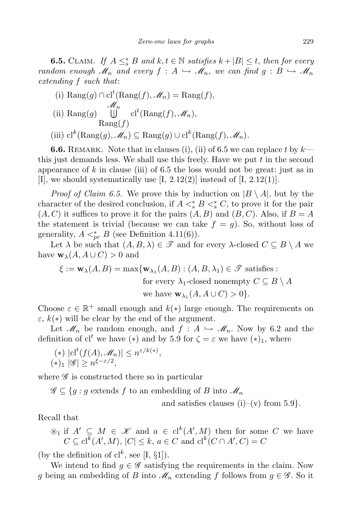**6.5.** CLAIM. If  $A \leq^*_{s} B$  and  $k, t \in \mathbb{N}$  satisfies  $k + |B| \leq t$ , then for every *random enough*  $\mathcal{M}_n$  *and every*  $f : A \hookrightarrow \mathcal{M}_n$ , we can find  $g : B \hookrightarrow \mathcal{M}_n$ *extending f such that*:

(i) 
$$
\text{Rang}(g) \cap \text{cl}^t(\text{Rang}(f), \mathcal{M}_n) = \text{Rang}(f),
$$
  
\n(ii)  $\text{Rang}(g) \bigcup_{\text{Rang}(f)}^{\mathcal{M}_n} \text{cl}^t(\text{Rang}(f), \mathcal{M}_n),$   
\n $\text{Rang}(f)$ 

 $(\text{iii}) \text{cl}^k(\text{Rang}(g), \mathcal{M}_n) \subseteq \text{Rang}(g) \cup \text{cl}^k(\text{Rang}(f), \mathcal{M}_n)$ .

**6.6.** REMARK. Note that in clauses (i), (ii) of 6.5 we can replace t by  $k$ this just demands less. We shall use this freely. Have we put *t* in the second appearance of *k* in clause (iii) of 6.5 the loss would not be great: just as in [I], we should systematically use  $[I, 2.12(2)]$  instead of  $[I, 2.12(1)]$ .

*Proof of Claim 6.5.* We prove this by induction on  $|B \setminus A|$ , but by the character of the desired conclusion, if  $A \leq s^* B \leq s^* C$ , to prove it for the pair  $(A, C)$  it suffices to prove it for the pairs  $(A, B)$  and  $(B, C)$ . Also, if  $B = A$ the statement is trivial (because we can take  $f = g$ ). So, without loss of generality,  $A \leq_{pr}^* B$  (see Definition 4.11(6)).

Let  $\lambda$  be such that  $(A, B, \lambda) \in \mathcal{F}$  and for every  $\lambda$ -closed  $C \subseteq B \setminus A$  we have  $\mathbf{w}_{\lambda}(A, A \cup C) > 0$  and

$$
\xi := \mathbf{w}_{\lambda}(A, B) = \max \{ \mathbf{w}_{\lambda_1}(A, B) : (A, B, \lambda_1) \in \mathcal{F} \text{ satisfies :}
$$
  
for every  $\lambda_1$ -closed nonempty  $C \subseteq B \setminus A$   
we have  $\mathbf{w}_{\lambda_1}(A, A \cup C) > 0 \}.$ 

Choose  $\varepsilon \in \mathbb{R}^+$  small enough and  $k(*)$  large enough. The requirements on  $\varepsilon$ ,  $k(*)$  will be clear by the end of the argument.

Let  $\mathcal{M}_n$  be random enough, and  $f : A \hookrightarrow \mathcal{M}_n$ . Now by 6.2 and the definition of cl<sup>t</sup> we have (\*) and by 5.9 for  $\zeta = \varepsilon$  we have (\*)<sub>1</sub>, where

$$
(*) |cl^t(f(A), \mathcal{M}_n)| \le n^{\varepsilon/k(*)},
$$
  

$$
(*)_1 |\mathcal{G}| \ge n^{\varepsilon - \varepsilon/2},
$$

where  $\mathscr G$  is constructed there so in particular

 $\mathscr{G} \subseteq \{g : g \text{ extends } f \text{ to an embedding of } B \text{ into } \mathscr{M}_n\}$ 

and satisfies clauses (i)–(v) from 5.9*}.*

Recall that

$$
\circledast_1
$$
 if  $A' \subseteq M \in \mathcal{K}$  and  $a \in \text{cl}^k(A', M)$  then for some  $C$  we have  $C \subseteq \text{cl}^k(A', M), |C| \leq k, a \in C$  and  $\text{cl}^k(C \cap A', C) = C$ 

(by the definition of  $cl^k$ , see [I, §1]).

We intend to find  $g \in \mathscr{G}$  satisfying the requirements in the claim. Now *g* being an embedding of *B* into  $\mathcal{M}_n$  extending *f* follows from  $g \in \mathcal{G}$ . So it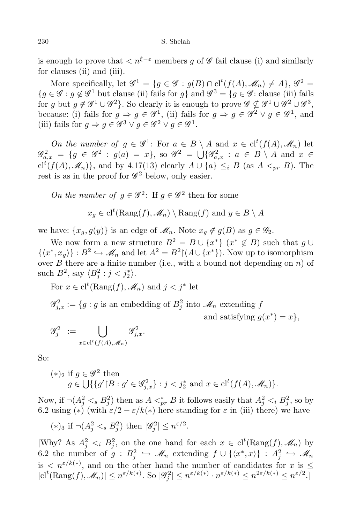is enough to prove that  $\langle n^{\xi-\varepsilon}$  members q of  $\mathscr G$  fail clause (i) and similarly for clauses (ii) and (iii).

More specifically, let  $\mathscr{G}^1 = \{ g \in \mathscr{G} : g(B) \cap \text{cl}^t(f(A), \mathscr{M}_n) \neq A \}, \mathscr{G}^2 =$ *{g* ∈  $\mathscr{G}$  : *g*  $\notin \mathscr{G}$ <sup>1</sup> but clause (ii) fails for *g}* and  $\mathscr{G}$ <sup>3</sup> = {*g* ∈  $\mathscr{G}$ : clause (iii) fails for *g* but  $g \notin \mathscr{G}^1 \cup \mathscr{G}^2$ . So clearly it is enough to prove  $\mathscr{G} \nsubseteq \mathscr{G}^1 \cup \mathscr{G}^2 \cup \mathscr{G}^3$ , because: (i) fails for  $g \Rightarrow g \in \mathscr{G}^1$ , (ii) fails for  $g \Rightarrow g \in \mathscr{G}^2 \vee g \in \mathscr{G}^1$ , and (iii) fails for  $g \Rightarrow g \in \mathscr{G}^3 \lor g \in \mathscr{G}^2 \lor g \in \mathscr{G}^1$ .

*On the number of*  $g \in \mathscr{G}^1$ : For  $a \in B \setminus A$  and  $x \in cl^t(f(A), \mathscr{M}_n)$  let  $\mathscr{G}_{a,x}^2 = \{ g \in \mathscr{G}^2 : g(a) = x \}, \text{ so } \mathscr{G}^2 = \bigcup \{ \mathscr{G}_{a,x}^2 : a \in B \setminus A \text{ and } x \in A \}$  $cl^t(f(A), \mathscr{M}_n)$ , and by 4.17(13) clearly  $A \cup \{a\} \leq_i B$  (as  $A <_{pr} B$ ). The rest is as in the proof for  $\mathscr{G}^2$  below, only easier.

*On the number of*  $g \in \mathscr{G}^2$ : If  $g \in \mathscr{G}^2$  then for some

$$
x_g \in cl^t(\text{Rang}(f), \mathscr{M}_n) \setminus \text{Rang}(f)
$$
 and  $y \in B \setminus A$ 

we have:  $\{x_g, g(y)\}\$ is an edge of  $\mathcal{M}_n$ . Note  $x_g \notin g(B)$  as  $g \in \mathcal{G}_2$ .

We now form a new structure  $B^2 = B \cup \{x^*\}$   $(x^* \notin B)$  such that  $g \cup$  $\{\langle x^*, x_g \rangle\} : B^2 \hookrightarrow \mathcal{M}_n$  and let  $A^2 = B^2 \upharpoonright (A \cup \{x^*\})$ . Now up to isomorphism over  $B$  there are a finite number (i.e., with a bound not depending on  $n$ ) of such  $B^2$ , say  $\langle B_j^2 : j < j_2^* \rangle$ .

For  $x \in cl^t(\text{Rang}(f), \mathcal{M}_n)$  and  $j < j^*$  let

 $\mathscr{G}_{j,x}^2 := \{ g : g \text{ is an embedding of } B_j^2 \text{ into } \mathscr{M}_n \text{ extending } f \}$ and satisfying  $g(x^*) = x$ ,

$$
\mathscr{G}_j^2 \ := \bigcup_{x \in \text{cl}^t(f(A), \mathscr{M}_n)} \mathscr{G}_{j,x}^2.
$$

So:

$$
(*)_2 \text{ if } g \in \mathscr{G}^2 \text{ then}
$$
  

$$
g \in \bigcup \{ \{ g' \mid B : g' \in \mathscr{G}_{j,x}^2 \} : j < j_2^* \text{ and } x \in \text{cl}^t(f(A), \mathscr{M}_n) \}.
$$

Now, if  $\neg(A_j^2 \lt s B_j^2)$  then as  $A \lt^*_{pr} B$  it follows easily that  $A_j^2 \lt i B_j^2$ , so by 6.2 using (\*) (with  $\varepsilon/2 - \varepsilon/k(*)$  here standing for  $\varepsilon$  in (iii) there) we have

$$
(*)_3 \text{ if } \neg (A_j^2 <_s B_j^2) \text{ then } |\mathscr{G}_j^2| \leq n^{\varepsilon/2}.
$$

[Why? As  $A_j^2 \leq_i B_j^2$ , on the one hand for each  $x \in cl^t(\text{Rang}(f), \mathcal{M}_n)$  by 6.2 the number of  $g : B_j^2 \hookrightarrow \mathcal{M}_n$  extending  $f \cup \{\langle x^*, x \rangle\} : A_j^2 \hookrightarrow \mathcal{M}_n$ is  $\langle n^{\varepsilon/k(*)}, \rangle$  and on the other hand the number of candidates for *x* is  $\leq$  $|{\rm cl}^t({\rm Rang}(f),{\mathscr M}_n)|\le n^{\varepsilon/k(*)}.$  So  $|\mathscr G^2_j|\le n^{\varepsilon/k(*)}\cdot n^{\varepsilon/k(*)}\le n^{2\varepsilon/k(*)}\le n^{\varepsilon/2}.$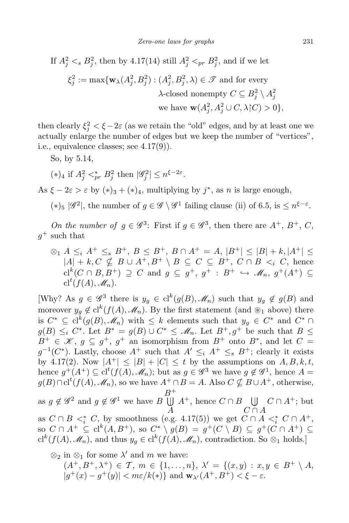If 
$$
A_j^2 <_s B_j^2
$$
, then by 4.17(14) still  $A_j^2 <_{pr} B_j^2$ , and if we let  
\n
$$
\xi_j^2 := \max \{ \mathbf{w}_{\lambda}(A_j^2, B_j^2) : (A_j^2, B_j^2, \lambda) \in \mathcal{T} \text{ and for every}
$$
\n
$$
\lambda\text{-closed nonempty } C \subseteq B_j^2 \setminus A_j^2
$$
\nwe have  $\mathbf{w}(A_j^2, A_j^2 \cup C, \lambda | C) > 0 \},$ 

then clearly  $\xi_j^2 < \xi - 2\varepsilon$  (as we retain the "old" edges, and by at least one we actually enlarge the number of edges but we keep the number of "vertices", i.e., equivalence classes; see 4.17(9)).

So, by 5.14,

 $(*)_4$  if  $A_j^2 <_{pr}^* B_j^2$  then  $|\mathscr{G}_j^2| \leq n^{\xi - 2\varepsilon}$ .

As  $\xi - 2\varepsilon > \varepsilon$  by  $(*)_3 + (*)_4$ , multiplying by  $j^*$ , as *n* is large enough,

 $(*)_5$   $|\mathscr{G}^2|$ , the number of  $g \in \mathscr{G} \setminus \mathscr{G}^1$  failing clause (ii) of 6.5, is  $\leq n^{\xi-\varepsilon}$ .

*On the number of*  $g \in \mathscr{G}^3$ : First if  $g \in \mathscr{G}^3$ , then there are  $A^+$ ,  $B^+$ ,  $C$ ,  $g^+$  such that

 $\otimes_1 A \leq_i A^+ \leq_s B^+, B \leq B^+, B \cap A^+ = A, |B^+| \leq |B| + k, |A^+| \leq$  $|A| + k$ ,  $C \nsubseteq B \cup A^+, B^+ \setminus B \subseteq C \subseteq B^+, C \cap B \leq_i C$ , hence  $cl^k(C \cap B, B^+) \supseteq C$  and  $g \subseteq g^+, g^+ : B^+ \hookrightarrow \mathscr{M}_n, g^+(A^+) \subseteq$  $cl^t(f(A), \mathscr{M}_n).$ 

[Why? As  $g \in \mathscr{G}^3$  there is  $y_g \in cl^k(g(B), \mathscr{M}_n)$  such that  $y_g \notin g(B)$  and moreover  $y_g \notin cl^k(f(A), \mathcal{M}_n)$ . By the first statement (and ⊛<sub>1</sub> above) there is  $C^* \subseteq cl^k(g(B), \mathcal{M}_n)$  with  $\leq k$  elements such that  $y_g \in C^*$  and  $C^* \cap$ *g*(*B*) ≤*i C*<sup>\*</sup>. Let *B*<sup>\*</sup> = *g*(*B*) *∪ C*<sup>\*</sup> ≤  $\mathcal{M}_n$ . Let *B*<sup>+</sup>, *g*<sup>+</sup> be such that *B* ≤  $B^+ \in \mathcal{K}, g \subseteq g^+, g^+$  an isomorphism from  $B^+$  onto  $B^*$ , and let  $C =$  $g^{-1}(C^*)$ . Lastly, choose  $A^+$  such that  $A' \leq_i A^+ \leq_s B^+$ ; clearly it exists by 4.17(2). Now  $|A^+| \leq |B| + |C| \leq t$  by the assumptions on  $A, B, k, t$ , hence  $g^+(A^+) \subseteq cl^t(f(A), \mathcal{M}_n)$ ; but as  $g \in \mathscr{G}^3$  we have  $g \notin \mathscr{G}^1$ , hence  $A =$ *g*(*B*)∩cl<sup>*t*</sup>(*f*(*A*)*,*  $M_n$ ), so we have  $A^+ ∩ B = A$ . Also  $C \nsubseteq B ∪ A^+$ , otherwise, as  $g \notin \mathscr{G}^2$  and  $g \notin \mathscr{G}^1$  we have *B B*<sup>+</sup> U *A A*<sup>+</sup>, hence  $C \cap B$  ∪ *C ∩ A*  $C \cap A^+$ ; but as  $C \cap B \leq_i^* C$ , by smoothness (e.g. 4.17(5)) we get  $C \cap A \leq_i^* C \cap A^+$ , so  $C \cap A^+ \subseteq \mathrm{cl}^k(A, B^+),$  so  $C^* \setminus g(B) = g^+(C \setminus B) \subseteq g^+(C \cap A^+) \subseteq$  $\mathrm{cl}^k(f(A), \mathscr{M}_n)$ , and thus  $y_g \in \mathrm{cl}^k(f(A), \mathscr{M}_n)$ , contradiction. So  $\otimes_1$  holds.]

$$
\otimes_2
$$
 in  $\otimes_1$  for some  $\lambda'$  and  $m$  we have:  $(A^+, B^+, \lambda^+) \in \mathcal{T}$ ,  $m \in \{1, \ldots, n\}$ ,  $\lambda' = \{(x, y) : x, y \in B^+ \setminus A$ ,  $|g^+(x) - g^+(y)| < m\varepsilon/k(*)\}$  and  $\mathbf{w}_{\lambda'}(A^+, B^+) < \xi - \varepsilon$ .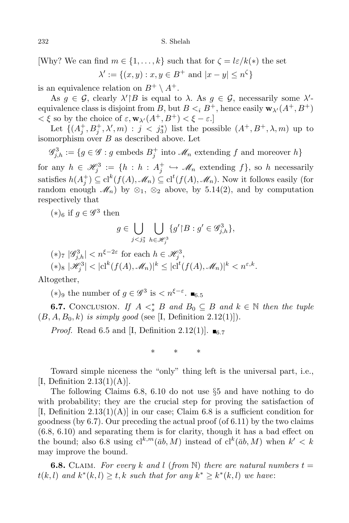[Why? We can find  $m \in \{1, \ldots, k\}$  such that for  $\zeta = \frac{l\varepsilon}{k(*)}$  the set

$$
\lambda' := \{(x, y) : x, y \in B^+ \text{ and } |x - y| \le n^{\zeta}\}
$$

is an equivalence relation on  $B^+ \setminus A^+$ .

As  $g \in \mathcal{G}$ , clearly  $\lambda' \mid B$  is equal to  $\lambda$ . As  $g \in \mathcal{G}$ , necessarily some  $\lambda'$ equivalence class is disjoint from *B*, but  $B \lt_i B^+$ , hence easily  $\mathbf{w}_{\lambda'}(A^+, B^+)$  $\langle$  ξ so by the choice of ε,  $\mathbf{w}_{\lambda'}(A^+, B^+)$  < ξ − ε.]

Let  $\{(A_j^+, B_j^+, \lambda', m) : j < j_3^*\}$  list the possible  $(A^+, B^+, \lambda, m)$  up to isomorphism over *B* as described above. Let

 $\mathscr{G}_{j,h}^3 := \{ g \in \mathscr{G} : g \text{ embeds } B_j^+ \text{ into } \mathscr{M}_n \text{ extending } f \text{ and moreover } h \}$  $\text{for any } h \in \mathcal{H}_j^3 := \{h : h : A_j^+ \hookrightarrow \mathcal{M}_n \text{ extending } f\}, \text{ so } h \text{ necessarily } j \in \mathcal{H}_j^3$ 

satisfies  $h(A_j^+) \subseteq cl^k(f(A), \mathcal{M}_n) \subseteq cl^t(f(A), \mathcal{M}_n)$ . Now it follows easily (for random enough  $\mathscr{M}_n$ ) by  $\otimes_1$ ,  $\otimes_2$  above, by 5.14(2), and by computation respectively that

 $(*)_6$  if  $g \in \mathscr{G}^3$  then

$$
g\in \bigcup_{j
$$

$$
\begin{aligned} &\quad (*)_7 \ |\mathscr{G}_{j,h}^3| < n^{\xi-2\varepsilon} \text{ for each } h \in \mathscr{H}_j^3, \\ &\quad (*)_8 \ |\mathscr{H}_j^3| < |\mathrm{cl}^k(f(A),\mathscr{M}_n)|^k \leq |\mathrm{cl}^t(f(A),\mathscr{M}_n)|^k < n^{\varepsilon,k}. \end{aligned}
$$

Altogether,

 $(*)$ <sup>9</sup> the number of  $g \in \mathscr{G}^3$  is  $\lt n^{\xi-\varepsilon}$ . ■6.5

**6.7.** CONCLUSION. *If*  $A \leq^*_{s} B$  *and*  $B_0 \subseteq B$  *and*  $k \in \mathbb{N}$  *then the tuple*  $(B, A, B_0, k)$  *is simply good* (see [I, Definition 2.12(1)]).

*Proof.* Read 6.5 and [I, Definition 2.12(1)].  $\blacksquare_{6.7}$ 

*∗ ∗ ∗*

Toward simple niceness the "only" thing left is the universal part, i.e., [I, Definition  $2.13(1)(A)$ ].

The following Claims 6.8, 6.10 do not use *§*5 and have nothing to do with probability; they are the crucial step for proving the satisfaction of  $[I, Definition 2.13(1)(A)]$  in our case; Claim 6.8 is a sufficient condition for goodness (by  $6.7$ ). Our preceding the actual proof (of  $6.11$ ) by the two claims (6.8, 6.10) and separating them is for clarity, though it has a bad effect on the bound; also 6.8 using  $\mathrm{cl}^{k,m}(\bar{a}b, M)$  instead of  $\mathrm{cl}^k(\bar{a}b, M)$  when  $k' < k$ may improve the bound.

**6.8.** CLAIM. For every k and l (from N) there are natural numbers  $t =$ *t*(*k, l*) *and*  $k^*(k, l) ≥ t$ , *k such that for any*  $k^* ≥ k^*(k, l)$  *we have:*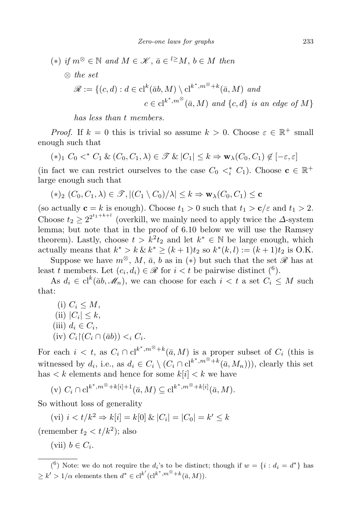$(*)$  *if*  $m^{\otimes}$  ∈  $\mathbb N$  *and*  $M \in \mathcal K$ ,  $\bar{a} \in \ell^{\geq} M$ ,  $b \in M$  *then ⊗ the set*  $\mathscr{R} := \{ (c, d) : d \in \mathrm{cl}^k(\bar{a}b, M) \setminus \mathrm{cl}^{k^*, m^\otimes + k}(\bar{a}, M) \text{ and }$  $c \in cl^{k^*, m^\otimes}(\bar{a}, M)$  and  $\{c, d\}$  *is an edge of*  $M$ *}* 

*has less than t members.*

*Proof.* If  $k = 0$  this is trivial so assume  $k > 0$ . Choose  $\varepsilon \in \mathbb{R}^+$  small enough such that

$$
(*)_1 C_0 <^* C_1 \& (C_0, C_1, \lambda) \in \mathcal{T} \& |C_1| \leq k \Rightarrow \mathbf{w}_{\lambda}(C_0, C_1) \notin [-\varepsilon, \varepsilon]
$$

(in fact we can restrict ourselves to the case  $C_0 \lt_i^* C_1$ ). Choose  $\mathbf{c} \in \mathbb{R}^+$ large enough such that

$$
(*)_2 (C_0, C_1, \lambda) \in \mathcal{T}, |(C_1 \setminus C_0)/\lambda| \leq k \Rightarrow \mathbf{w}_{\lambda}(C_0, C_1) \leq \mathbf{c}
$$

(so actually  $\mathbf{c} = k$  is enough). Choose  $t_1 > 0$  such that  $t_1 > \mathbf{c}/\varepsilon$  and  $t_1 > 2$ . Choose  $t_2 \geq 2^{2^{t_1+k+l}}$  (overkill, we mainly need to apply twice the *∆*-system lemma; but note that in the proof of 6.10 below we will use the Ramsey theorem). Lastly, choose  $t > k^2 t_2$  and let  $k^* \in \mathbb{N}$  be large enough, which actually means that  $k^* > k \& k^* \ge (k+1)t_2$  so  $k^*(k, l) := (k+1)t_2$  is O.K.

Suppose we have  $m^{\otimes}$ , M,  $\bar{a}$ , b as in (\*) but such that the set  $\mathscr R$  has at least *t* members. Let  $(c_i, d_i) \in \mathcal{R}$  for  $i < t$  be pairwise distinct  $\binom{6}{t}$ .

As  $d_i \in cl^k(\bar{a}b, \mathcal{M}_n)$ , we can choose for each  $i < t$  a set  $C_i \leq M$  such that:

(i)  $C_i \leq M$ ,  $|C_i| \leq k$ ,  $(iii)$   $d_i \in C_i$ ,  $(C_i \cap (\bar{a}b)) < i, C_i$ .

For each  $i < t$ , as  $C_i \cap cl^{k^*, m^\otimes + k}(\bar{a}, M)$  is a proper subset of  $C_i$  (this is witnessed by  $d_i$ , i.e., as  $d_i \in C_i \setminus (C_i \cap \mathrm{cl}^{k^*, m^\otimes + k}(\bar{a}, M_n))$ , clearly this set has  $\lt k$  elements and hence for some  $k[i] \lt k$  we have

(v) 
$$
C_i \cap cl^{k^*, m^\otimes + k[i]+1}(\bar{a}, M) \subseteq cl^{k^*, m^\otimes + k[i]}(\bar{a}, M)
$$
.

So without loss of generality

 $(vi)$   $i < t/k^2 \Rightarrow k[i] = k[0] \& C_i | = |C_0| = k' \leq k$ 

(remember  $t_2 < t/k^2$ ); also

 $(vii)$   $b \in C_i$ .

<sup>&</sup>lt;sup>(6</sup>) Note: we do not require the  $d_i$ 's to be distinct; though if  $w = \{i : d_i = d^*\}$  has  $\geq k' > 1/\alpha$  elements then  $d^* \in cl^{k'}(cl^{k^*, m^{\otimes} + k}(\bar{a}, M)).$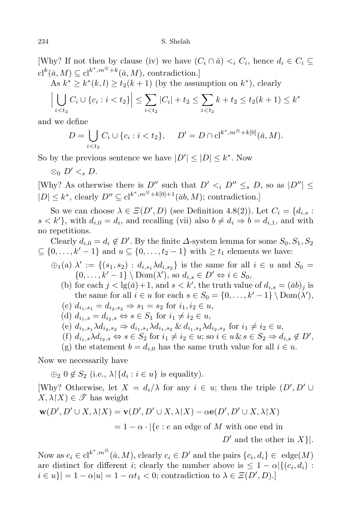[Why? If not then by clause (iv) we have  $(C_i \cap \bar{a}) \leq_i C_i$ , hence  $d_i \in C_i \subseteq$  $\mathrm{cl}^k(\bar{a}, M) \subseteq \mathrm{cl}^{k^*, m^\otimes + k}(\bar{a}, M)$ , contradiction.]

As  $k^* \geq k^*(k, l) \geq t_2(k+1)$  (by the assumption on  $k^*$ ), clearly

$$
\left| \bigcup_{i < t_2} C_i \cup \{c_i : i < t_2\} \right| \leq \sum_{i < t_2} |C_i| + t_2 \leq \sum_{i < t_2} k + t_2 \leq t_2 (k+1) \leq k^*
$$

and we define

$$
D = \bigcup_{i < t_2} C_i \cup \{c_i : i < t_2\}, \quad D' = D \cap \mathrm{cl}^{k^*, m^\otimes + k[0]}(\bar{a}, M).
$$

So by the previous sentence we have  $|D'| \leq |D| \leq k^*$ . Now

$$
\otimes_0 D' <_s D.
$$

[Why? As otherwise there is  $D''$  such that  $D' \leq_i D'' \leq_s D$ , so as  $|D''| \leq$  $|D| \leq k^*$ , clearly  $D'' \subseteq cl^{k^*, m^\otimes + k[0]+1}(\bar{a}b, M)$ ; contradiction.]

So we can choose  $\lambda \in \Xi(D', D)$  (see Definition 4.8(2)). Let  $C_i = \{d_{i,s} :$  $s < k'$ }, with  $d_{i,0} = d_i$ , and recalling (vii) also  $b \neq d_i \Rightarrow b = d_{i,1}$ , and with no repetitions.

Clearly  $d_{i,0} = d_i \notin D'$ . By the finite  $\Delta$ -system lemma for some  $S_0, S_1, S_2$ *⊆ {*0*, . . . , k′ −* 1*}* and *u ⊆ {*0*, . . . , t*<sup>2</sup> *−* 1*}* with *≥ t*<sup>1</sup> elements we have:

- $\bigoplus_{i}$   $(A)$   $\lambda' := \{(s_1, s_2) : d_{i,s_1} \lambda d_{i,s_2}\}$  is the same for all  $i \in u$  and  $S_0 =$  $\{0, \ldots, k' - 1\} \setminus \text{Dom}(\lambda')$ , so  $d_{i,s} \in D' \Leftrightarrow i \in S_0$ ,
	- (b) for each  $j < \lg(\bar{a}) + 1$ , and  $s < k'$ , the truth value of  $d_{i,s} = (\bar{a}b)_j$  is the same for all  $i \in u$  for each  $s \in S_0 = \{0, \ldots, k' - 1\} \setminus \text{Dom}(\lambda'),$
	- $(c) d_{i_1, s_1} = d_{i_2, s_2} \Rightarrow s_1 = s_2 \text{ for } i_1, i_2 \in u,$
	- $(d)$   $d_{i_1,s} = d_{i_2,s} \Leftrightarrow s \in S_1$  for  $i_1 \neq i_2 \in u$ ,
	- (e)  $d_{i_1,s_1} \lambda d_{i_2,s_2} \Rightarrow d_{i_1,s_1} \lambda d_{i_1,s_2} \& d_{i_1,s_2} \lambda d_{i_2,s_2}$  for  $i_1 \neq i_2 \in u$ ,
	- (f)  $d_{i_1,s}\lambda d_{i_2,s} \Leftrightarrow s \in S_2$  for  $i_1 \neq i_2 \in u$ ; so  $i \in u \& s \in S_2 \Rightarrow d_{i,s} \notin D'$ ,
	- (g) the statement  $b = d_{i,0}$  has the same truth value for all  $i \in u$ .

Now we necessarily have

 $\bigoplus_2 0 \notin S_2$  (i.e.,  $\lambda \upharpoonright \{d_i : i \in u\}$  is equality).

[Why? Otherwise, let  $X = d_i/\lambda$  for any  $i \in u$ ; then the triple  $(D', D' \cup$  $X, \lambda \upharpoonright X \in \mathscr{T}$  has weight

$$
\mathbf{w}(D', D' \cup X, \lambda | X) = \mathbf{v}(D', D' \cup X, \lambda | X) - \alpha \mathbf{e}(D', D' \cup X, \lambda | X)
$$

$$
= 1 - \alpha \cdot |\{e : e \text{ an edge of } M \text{ with one end in }
$$

*D′* and the other in *X}|.*

Now as  $c_i \in \mathrm{cl}^{k^*, m^\otimes}(\bar{a}, M)$ , clearly  $c_i \in D'$  and the pairs  $\{c_i, d_i\} \in \mathrm{edge}(M)$ are distinct for different *i*; clearly the number above is  $\leq 1 - \alpha \left| \{(c_i, d_i) :$  $i \in u$ }| = 1 *−*  $\alpha |u|$  = 1 *−*  $\alpha t_1$  < 0; contradiction to  $\lambda \in \mathcal{Z}(D', D)$ .]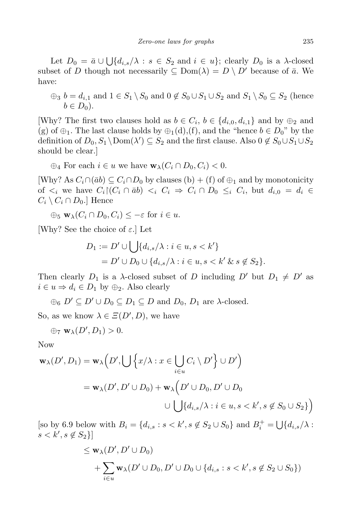Let  $D_0 = \bar{a} \cup \bigcup \{d_{i,s}/\lambda : s \in S_2 \text{ and } i \in u\}$ ; clearly  $D_0$  is a  $\lambda$ -closed subset of *D* though not necessarily  $\subseteq$  Dom( $\lambda$ ) =  $D \setminus D'$  because of  $\bar{a}$ . We have:

 $\oplus$ <sub>3</sub> *b* = *d*<sub>*i*</sub>,1</sub> and 1 ∈ *S*<sub>1</sub>  $\setminus$  *S*<sub>0</sub> and 0 ∉ *S*<sub>0</sub>  $\cup$  *S*<sub>1</sub>  $\cup$  *S*<sub>2</sub> and *S*<sub>1</sub>  $\setminus$  *S*<sub>0</sub> ⊆ *S*<sub>2</sub> (hence  $b \in D_0$ ).

[Why? The first two clauses hold as  $b \in C_i$ ,  $b \in \{d_{i,0}, d_{i,1}\}\$ and by  $\oplus_2$  and (g) of  $\oplus$ <sub>1</sub>. The last clause holds by  $\oplus$ <sub>1</sub>(d),(f), and the "hence *b* ∈ *D*<sub>0</sub>" by the definition of  $D_0, S_1 \setminus \text{Dom}(\lambda') \subseteq S_2$  and the first clause. Also  $0 \notin S_0 \cup S_1 \cup S_2$ should be clear.]

 $\bigoplus_i$  For each  $i \in u$  we have  $\mathbf{w}_\lambda(C_i \cap D_0, C_i) < 0$ .

[Why? As  $C_i \cap (\bar{a}b) \subseteq C_i \cap D_0$  by clauses (b) + (f) of  $\oplus_1$  and by monotonicity of  $\langle i \rangle$  we have  $C_i$   $(C_i \cap \overline{a}b) \langle i \rangle C_i \Rightarrow C_i \cap D_0 \leq i \langle C_i, but \rangle d_{i,0} = d_i \in$  $C_i \setminus C_i \cap D_0$ .] Hence

$$
\oplus_5 \mathbf{w}_{\lambda}(C_i \cap D_0, C_i) \leq -\varepsilon \text{ for } i \in u.
$$

[Why? See the choice of *ε*.] Let

$$
D_1 := D' \cup \bigcup \{d_{i,s}/\lambda : i \in u, s < k'\}
$$
  
= 
$$
D' \cup D_0 \cup \{d_{i,s}/\lambda : i \in u, s < k' \& s \notin S_2\}.
$$

Then clearly  $D_1$  is a *λ*-closed subset of *D* including  $D'$  but  $D_1 \neq D'$  as  $i \in u \Rightarrow d_i \in D_1$  by  $\oplus_2$ . Also clearly

 $\oplus_6$   $D' \subseteq D' \cup D_0 \subseteq D_1 \subseteq D$  and  $D_0$ ,  $D_1$  are  $\lambda$ -closed.

So, as we know  $\lambda \in \Xi(D', D)$ , we have

$$
\oplus_7 \mathbf{w}_{\lambda}(D', D_1) > 0.
$$

Now

$$
\mathbf{w}_{\lambda}(D', D_1) = \mathbf{w}_{\lambda}\left(D', \bigcup \left\{x/\lambda : x \in \bigcup_{i \in u} C_i \setminus D'\right\} \cup D'\right)
$$
  
=  $\mathbf{w}_{\lambda}(D', D' \cup D_0) + \mathbf{w}_{\lambda}\left(D' \cup D_0, D' \cup D_0\right)$   
 $\cup \bigcup \{d_{i,s}/\lambda : i \in u, s < k', s \notin S_0 \cup S_2\}\right)$ 

 $[$ so by 6.9 below with  $B_i = \{d_{i,s} : s < k', s \notin S_2 \cup S_0\}$  and  $B_i^+ = \bigcup \{d_{i,s}/\lambda : s \in S_1 \cup S_0\}$ *s*  $< k', s \notin S_2$ }

$$
\leq \mathbf{w}_{\lambda}(D', D' \cup D_0)
$$
  
+ 
$$
\sum_{i \in u} \mathbf{w}_{\lambda}(D' \cup D_0, D' \cup D_0 \cup \{d_{i,s} : s < k', s \notin S_2 \cup S_0\})
$$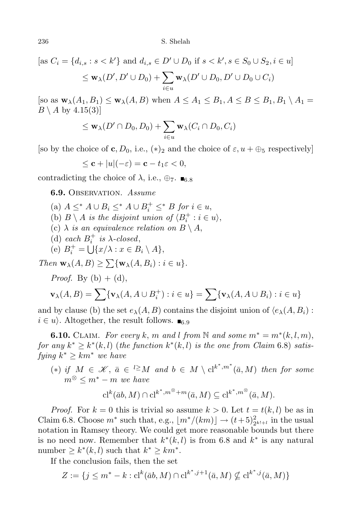[as  $C_i = \{d_{i,s} : s < k'\}$  and  $d_{i,s} \in D' \cup D_0$  if  $s < k', s \in S_0 \cup S_2, i \in u\}$  $\leq$  **w**<sub> $\lambda</math>$  $$(D', D' \cup D_0) + \sum$ </sub>$ *i∈u* **w**<sub> $\lambda$ </sub>(*D*<sup> $\prime$ </sup>  $\cup$  *D*<sub>0</sub>, *D*<sup> $\prime$ </sup>  $\cup$  *D*<sub>0</sub>  $\cup$  *C*<sub>*i*</sub>)

 $[$ so as  $\mathbf{w}_{\lambda}(A_1, B_1) \leq \mathbf{w}_{\lambda}(A, B)$  when  $A \leq A_1 \leq B_1, A \leq B \leq B_1, B_1 \setminus A_1 =$  $B \setminus A$  by 4.15(3)]

$$
\leq \mathbf{w}_{\lambda}(D' \cap D_0, D_0) + \sum_{i \in u} \mathbf{w}_{\lambda}(C_i \cap D_0, C_i)
$$

[so by the choice of **c**,  $D_0$ , i.e.,  $(*)_2$  and the choice of  $\varepsilon$ ,  $u + \bigoplus_{5}$  respectively]

$$
\leq \mathbf{c} + |u|(-\varepsilon) = \mathbf{c} - t_1 \varepsilon < 0,
$$

contradicting the choice of  $\lambda$ , i.e.,  $\bigoplus_{7}$ .  $\blacksquare$ <sub>6</sub>  $\kappa$ 

**6.9.** Observation. *Assume*

- (a)  $A \leq^* A \cup B_i \leq^* A \cup B_i^+ \leq^* B$  *for*  $i \in u$ ,
- (b)  $B \setminus A$  *is the disjoint union of*  $\langle B_i^+ : i \in u \rangle$ ,
- (c)  $\lambda$  *is an equivalence relation on*  $B \setminus A$ ,
- (d) *each*  $B_i^+$  *is*  $\lambda$ *-closed*,
- (e)  $B_i^+ = \bigcup \{x/\lambda : x \in B_i \setminus A\},\$

 $Then$  **w**<sub> $\lambda$ </sub>(*A, B*)  $\geq \sum \{ \mathbf{w}_{\lambda} (A, B_i) : i \in u \}.$ 

*Proof.* By  $(b) + (d)$ ,

$$
\mathbf{v}_{\lambda}(A, B) = \sum \{ \mathbf{v}_{\lambda}(A, A \cup B_i^+) : i \in u \} = \sum \{ \mathbf{v}_{\lambda}(A, A \cup B_i) : i \in u \}
$$

and by clause (b) the set  $e_{\lambda}(A, B)$  contains the disjoint union of  $\langle e_{\lambda}(A, B_i)$ :  $i \in u$ . Altogether, the result follows.  $\blacksquare$ 

**6.10.** CLAIM. For every  $k$ ,  $m$  and  $l$  from  $N$  and some  $m^* = m^*(k, l, m)$ , *for any*  $k^* \geq k^*(k, l)$  (*the function*  $k^*(k, l)$  *is the one from Claim* 6.8) *satis* $fying \; k^* \geq km^* \; we \; have$ 

 $(*)$  *if*  $M \in \mathcal{K}$ ,  $\bar{a} \in {}^{l \geq} M$  and  $b \in M \setminus cl^{k^*,m^*}(\bar{a},M)$  then for some  $m^{\otimes}$   $\leq m^* - m$  *we have* 

$$
\mathrm{cl}^k(\bar{a}b,M)\cap\mathrm{cl}^{k^*,m^\otimes+m}(\bar{a},M)\subseteq\mathrm{cl}^{k^*,m^\otimes}(\bar{a},M).
$$

*Proof.* For  $k = 0$  this is trivial so assume  $k > 0$ . Let  $t = t(k, l)$  be as in Claim 6.8. Choose  $m^*$  such that, e.g.,  $\lfloor m^*/(km) \rfloor \rightarrow (t+5)_{2^{k!+1}}^2$  in the usual notation in Ramsey theory. We could get more reasonable bounds but there is no need now. Remember that  $k^*(k, l)$  is from 6.8 and  $k^*$  is any natural number  $\geq k^*(k, l)$  such that  $k^* \geq km^*$ .

If the conclusion fails, then the set

$$
Z := \{ j \le m^* - k : cl^k(\bar{a}b, M) \cap cl^{k^*, j+1}(\bar{a}, M) \nsubseteq cl^{k^*, j}(\bar{a}, M) \}
$$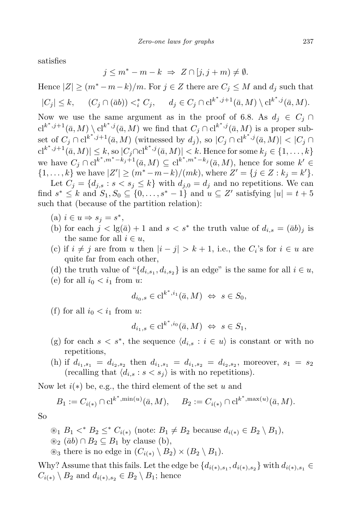satisfies

$$
j \le m^* - m - k \implies Z \cap [j, j + m) \neq \emptyset.
$$

Hence  $|Z| \ge (m^* - m - k)/m$ . For  $j \in Z$  there are  $C_j \le M$  and  $d_j$  such that *|C<sup>j</sup> | ≤ k,* (*C<sup>j</sup> ∩* (¯*ab*)) *< ∗*

$$
|C_j| \le k, \qquad (C_j \cap (\bar{a}b)) <_i^* C_j, \qquad d_j \in C_j \cap \mathrm{cl}^{k^*,j+1}(\bar{a}, M) \setminus \mathrm{cl}^{k^*,j}(\bar{a}, M).
$$
  
Now we use the same argument as in the proof of 6.8. As  $d_j \in C_j \cap \mathrm{cl}$ 

Now we use the same argument as in the proof of 6.8. As  $d_j \in C_j \cap$  $c_1^{k^*,j+1}(\bar{a},M) \setminus c_1^{k^*,j}(\bar{a},M)$  we find that  $C_j \cap c_1^{k^*,j}(\bar{a},M)$  is a proper subset of  $C_j \cap cl^{k^*,j+1}(\bar{a},M)$  (witnessed by  $d_j$ ), so  $|C_j \cap cl^{k^*,j}(\bar{a},M)| < |C_j \cap$  $|{\rm cl}^{k^*,j+1}(\bar a,M)|\leq k, {\rm so}\, |C_j\cap {\rm cl}^{k^*,j}(\bar a,M)|< k.$  Hence for some  $k_j\in\{1,\ldots,k\}$ we have  $C_j \cap \mathrm{cl}^{k^*,m^*-k_j+1}(\bar{a},M) \subseteq \mathrm{cl}^{k^*,m^*-k_j}(\bar{a},M)$ , hence for some  $k' \in$  $\{1,\ldots,k\}$  we have  $|Z'| \ge (m^* - m - k)/(mk)$ , where  $Z' = \{j \in Z : k_j = k'\}.$ 

Let  $C_j = \{d_{j,s} : s < s_j \leq k\}$  with  $d_{j,0} = d_j$  and no repetitions. We can find  $s^* \leq k$  and  $S_1, S_0 \subseteq \{0, \ldots, s^* - 1\}$  and  $u \subseteq Z'$  satisfying  $|u| = t + 5$ such that (because of the partition relation):

- (a)  $i \in u \Rightarrow s_j = s^*$ ,
- (b) for each  $j < \lg(\bar{a}) + 1$  and  $s < s^*$  the truth value of  $d_{i,s} = (\bar{a}b)_j$  is the same for all  $i \in u$ ,
- (c) if  $i \neq j$  are from *u* then  $|i j| > k + 1$ , i.e., the  $C_i$ 's for  $i \in u$  are quite far from each other,
- (d) the truth value of " $\{d_{i,s_1}, d_{i,s_2}\}$  is an edge" is the same for all  $i \in u$ ,
- (e) for all  $i_0 < i_1$  from  $u$ :

$$
d_{i_0,s} \in \mathrm{cl}^{k^*,i_1}(\bar{a},M) \iff s \in S_0,
$$

(f) for all  $i_0 < i_1$  from  $u$ :

$$
d_{i_1,s} \in \mathrm{cl}^{k^*,i_0}(\bar{a},M) \iff s \in S_1,
$$

- (g) for each  $s < s^*$ , the sequence  $\langle d_{i,s} : i \in u \rangle$  is constant or with no repetitions,
- (h) if  $d_{i_1,s_1} = d_{i_2,s_2}$  then  $d_{i_1,s_1} = d_{i_1,s_2} = d_{i_2,s_2}$ , moreover,  $s_1 = s_2$ (recalling that  $\langle d_{i,s} : s \langle s_j \rangle$  is with no repetitions).

Now let *i*(*∗*) be, e.g., the third element of the set *u* and

$$
B_1 := C_{i(*)} \cap \mathrm{cl}^{k^*, \min(u)}(\bar{a}, M), \quad B_2 := C_{i(*)} \cap \mathrm{cl}^{k^*, \max(u)}(\bar{a}, M).
$$

So

$$
\mathcal{B}_1 \ B_1 \leq^* B_2 \leq^* C_{i(*)} \ \text{(note: } B_1 \neq B_2 \ \text{because } d_{i(*)} \in B_2 \setminus B_1),
$$
  

$$
\mathcal{B}_2 \ (\bar{a}b) \cap B_2 \subseteq B_1 \text{ by clause (b)},
$$
  

$$
\mathcal{B}_3 \text{ there is no edge in } (C_{i(*)} \setminus B_2) \times (B_2 \setminus B_1).
$$

Why? Assume that this fails. Let the edge be  $\{d_{i(*),s_1}, d_{i(*),s_2}\}\$  with  $d_{i(*),s_1} \in$  $C_{i(*)} \setminus B_2$  and  $d_{i(*),s_2} \in B_2 \setminus B_1$ ; hence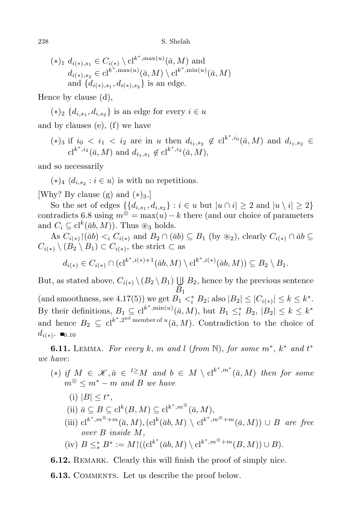$$
(*)_1 d_{i(*),s_1} \in C_{i(*)} \backslash cl^{k^*, \max(u)}(\bar{a}, M) \text{ and}
$$
  
\n
$$
d_{i(*),s_2} \in cl^{k^*, \max(u)}(\bar{a}, M) \backslash cl^{k^*, \min(u)}(\bar{a}, M)
$$
  
\nand 
$$
\{d_{i(*),s_1}, d_{i(*),s_2}\} \text{ is an edge.}
$$

Hence by clause (d),

 $(*)$ <sub>2</sub>  $\{d_{i,s_1}, d_{i,s_2}\}\$  is an edge for every  $i \in u$ 

and by clauses (e), (f) we have

 $(*)_3$  if  $i_0 < i_1 < i_2$  are in *u* then  $d_{i_1, s_2} \notin cl^{k^*, i_0}(\bar{a}, M)$  and  $d_{i_1, s_2} \in$  $\mathrm{cl}^{k^*, i_2}(\bar{a}, M)$  and  $d_{i_1, s_1} \notin \mathrm{cl}^{k^*, i_2}(\bar{a}, M)$ ,

and so necessarily

 $(*)_4 \langle d_{i,s_2} : i \in u \rangle$  is with no repetitions.

[Why? By clause  $(g)$  and  $(*)_3$ .]

So the set of edges  $\{\{d_{i,s_1}, d_{i,s_2}\} : i \in u \text{ but } |u \cap i| \geq 2 \text{ and } |u \setminus i| \geq 2\}$ contradicts 6.8 using  $m^{\otimes} = \max(u) - k$  there (and our choice of parameters and  $C_i \subseteq cl^k(\bar{a}b, M)$ ). Thus  $\otimes_3$  holds.

As  $C_{i(*)} \restriction (\bar{a}b) \lt_i C_{i(*)}$  and  $B_2 \cap (\bar{a}b) \subseteq B_1$  (by  $\otimes_2$ ), clearly  $C_{i(*)} \cap \bar{a}b \subseteq$  $C_{i(*)} \setminus (B_2 \setminus B_1) \subset C_{i(*)}$ , the strict  $\subset$  as

$$
d_{i(*)} \in C_{i(*)} \cap (\mathrm{cl}^{k^*,i(*)+1}(\bar{a}b,M) \setminus \mathrm{cl}^{k^*,i(*)}(\bar{a}b,M)) \subseteq B_2 \setminus B_1.
$$

But, as stated above,  $C_{i(*)} \setminus (B_2 \setminus B_1) \cup B_2$ , hence by the previous sentence *B*<sup>1</sup>  $\{ \text{and smoothness, see } 4.17(5) \}$  we get  $B_1 \lt_i^* B_2$ ; also  $|B_2| \leq |C_{i(*)}| \leq k \leq k^*$ . By their definitions,  $B_1 \subseteq cl^{k^*, \min(u)}(\bar{a}, M)$ , but  $B_1 \leq_i^* B_2$ ,  $|B_2| \leq k \leq k^*$ and hence  $B_2 \subseteq cl^{k^*, 2^{nd} \text{ member of } u}(\bar{a}, M)$ . Contradiction to the choice of  $d_{i(*)}$ . ■6.10

**6.11.** LEMMA. For every  $k$ ,  $m$  and  $l$  (from  $\mathbb{N}$ ), for some  $m^*$ ,  $k^*$  and  $t^*$ *we have*:

- $(*)$  *if*  $M \in \mathcal{K}, \bar{a} \in \ell^{\geq} M$  and  $b \in M \setminus cl^{k^*, m^*}(\bar{a}, M)$  then for some  $m^{\otimes}$   $\leq m^* - m$  *and B we have* 
	- (i)  $|B| \le t^*$ ,
	- $(i) \bar{a} \subseteq B \subseteq cl^k(B, M) \subseteq cl^{k^*, m^\otimes}(\bar{a}, M),$
	- $(iii)$  cl<sup>k\*</sup>,<sup>*m*⊗+*m*</sup>( $\bar{a}$ *, M*)*,*(cl<sup>k</sup>( $\bar{a}b$ *, M*)  $\setminus$  cl<sup>k\*</sup>,<sup>*m*⊗+*m*</sup>( $\bar{a}$ *, M*))  $\cup$  *B* are free *over B inside M*,

(iv) 
$$
B \leq_s^* B^* := M \upharpoonright ((\mathrm{cl}^{k^*} (\bar{a}b, M) \setminus \mathrm{cl}^{k^*, m^\otimes + m}(B, M)) \cup B).
$$

**6.12.** REMARK. Clearly this will finish the proof of simply nice.

**6.13.** COMMENTS. Let us describe the proof below.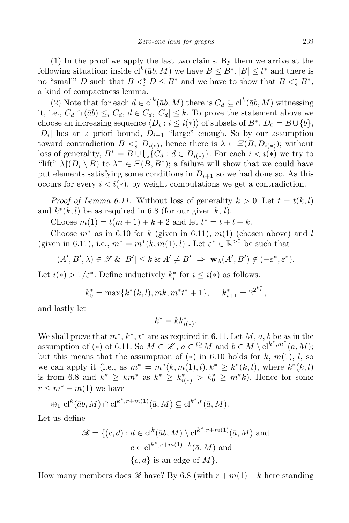(1) In the proof we apply the last two claims. By them we arrive at the following situation: inside  $\mathrm{cl}^k(\bar{a}b, M)$  we have  $B \leq B^*, |B| \leq t^*$  and there is no "small" *D* such that  $B \leq_i^* D \leq B^*$  and we have to show that  $B \leq_s^* B^*$ , a kind of compactness lemma.

(2) Note that for each  $d \in cl^k(\bar{a}b, M)$  there is  $C_d \subseteq cl^k(\bar{a}b, M)$  witnessing it, i.e.,  $C_d \cap (\bar{a}b) \leq_i C_d$ ,  $d \in C_d$ ,  $|C_d| \leq k$ . To prove the statement above we choose an increasing sequence  $\langle D_i : i \leq i(*) \rangle$  of subsets of  $B^*$ ,  $D_0 = B \cup \{b\}$ ,  $|D_i|$  has an a priori bound,  $D_{i+1}$  "large" enough. So by our assumption toward contradiction  $B \leq^*_{s} D_{i(*)}$ , hence there is  $\lambda \in \Xi(B, D_{i(*)})$ ; without loss of generality,  $B^* = B \cup \bigcup \{C_d : d \in D_{i(*)}\}\.$  For each  $i < i(*)$  we try to "lift"  $\lambda \upharpoonright (D_i \setminus B)$  to  $\lambda^+ \in \Xi(B, B^*)$ ; a failure will show that we could have put elements satisfying some conditions in  $D_{i+1}$  so we had done so. As this occurs for every  $i < i(*)$ , by weight computations we get a contradiction.

*Proof of Lemma 6.11.* Without loss of generality  $k > 0$ . Let  $t = t(k, l)$ and  $k^*(k, l)$  be as required in 6.8 (for our given  $k, l$ ).

Choose  $m(1) = t(m + 1) + k + 2$  and let  $t^* = t + l + k$ .

Choose  $m^*$  as in 6.10 for  $k$  (given in 6.11),  $m(1)$  (chosen above) and  $l$ (given in 6.11), i.e.,  $m^* = m^*(k, m(1), l)$ . Let  $\varepsilon^* \in \mathbb{R}^{>0}$  be such that

$$
(A', B', \lambda) \in \mathcal{F} \& |B'| \leq k \& A' \neq B' \Rightarrow \mathbf{w}_{\lambda}(A', B') \notin (-\varepsilon^*, \varepsilon^*).
$$

Let  $i(*)$  > 1/ $\varepsilon^*$ . Define inductively  $k_i^*$  for  $i \leq i(*)$  as follows:

$$
k_0^* = \max\{k^*(k, l), mk, m^*t^* + 1\}, \quad k_{i+1}^* = 2^{2^{k_i^*}},
$$

and lastly let

$$
k^* = kk^*_{i(*)}.
$$

We shall prove that  $m^*$ ,  $k^*$ ,  $t^*$  are as required in 6.11. Let  $M$ ,  $\bar{a}$ ,  $b$  be as in the assumption of (\*) of 6.11. So  $M \in \mathcal{K}$ ,  $\bar{a} \in \ell \geq M$  and  $b \in M \setminus cl^{k^*, m^*}(\bar{a}, M)$ ; but this means that the assumption of  $(*)$  in 6.10 holds for  $k, m(1), l$ , so we can apply it (i.e., as  $m^* = m^*(k, m(1), l), k^* \geq k^*(k, l)$ , where  $k^*(k, l)$ is from 6.8 and  $k^* \geq km^*$  as  $k^* \geq k_{i(*)}^* > k_0^* \geq m^*k$ . Hence for some  $r \leq m^* - m(1)$  we have

$$
\oplus_1 \, \mathrm{cl}^k(\bar{a}b,M) \cap \mathrm{cl}^{k^*,r+m(1)}(\bar{a},M) \subseteq \mathrm{cl}^{k^*,r}(\bar{a},M).
$$

Let us define

$$
\mathcal{R} = \{ (c, d) : d \in \text{cl}^k(\bar{a}b, M) \setminus \text{cl}^{k^*, r + m(1)}(\bar{a}, M) \text{ and}
$$

$$
c \in \text{cl}^{k^*, r + m(1) - k}(\bar{a}, M) \text{ and}
$$

$$
\{c, d\} \text{ is an edge of } M \}.
$$

How many members does  $\mathscr R$  have? By 6.8 (with  $r + m(1) - k$  here standing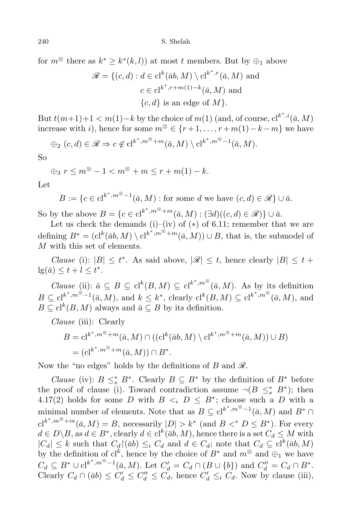for  $m^{\otimes}$  there as  $k^* \geq k^*(k, l)$  at most *t* members. But by  $\oplus_1$  above

$$
\mathcal{R} = \{ (c, d) : d \in \text{cl}^k(\bar{a}b, M) \setminus \text{cl}^{k^*, r}(\bar{a}, M) \text{ and}
$$

$$
c \in \text{cl}^{k^*, r + m(1) - k}(\bar{a}, M) \text{ and}
$$

$$
\{c, d\} \text{ is an edge of } M \}.
$$

But  $t(m+1)+1 < m(1) - k$  by the choice of  $m(1)$  (and, of course,  $\mathrm{cl}^{k^*,i}(\bar{a},M)$ increase with *i*), hence for some *m<sup>⊗</sup> ∈ {r* + 1*, . . . , r* +*m*(1)*−k −m}* we have

$$
\oplus_2 (c,d) \in \mathscr{R} \Rightarrow c \notin cl^{k^*,m^{\otimes}+m}(\bar{a},M) \setminus cl^{k^*,m^{\otimes}-1}(\bar{a},M).
$$

So

 $\bigoplus_{n \geq 3} r < m^{\otimes} - 1 < m^{\otimes} + m < r + m(1) - k.$ 

Let

 $B := \{c \in \mathrm{cl}^{k^*, m^\otimes - 1}(\bar{a}, M) : \text{for some } d \text{ we have } (c, d) \in \mathscr{R}\} \cup \bar{a}.$ 

So by the above  $B = \{c \in \mathrm{cl}^{k^*, m^\otimes + m}(\bar{a}, M) : (\exists d)((c, d) \in \mathcal{R})\} \cup \bar{a}.$ 

Let us check the demands (i)–(iv) of  $(*)$  of 6.11; remember that we are defining  $B^* = (\text{cl}^k(\bar{a}b, M) \setminus \text{cl}^{k^*, m^\otimes + m}(\bar{a}, M)) \cup B$ , that is, the submodel of *M* with this set of elements.

*Clause* (i):  $|B| \le t^*$ . As said above,  $|\mathcal{R}| \le t$ , hence clearly  $|B| \le t$  +  $\lg(\bar{a}) \leq t + l \leq t^*$ .

*Clause* (ii):  $\bar{a} \subseteq B \subseteq cl^k(B, M) \subseteq cl^{k^*, m}(\bar{a}, M)$ . As by its definition  $B \subseteq cl^{k^*, m^\otimes - 1}(\bar{a}, M)$ , and  $k \leq k^*$ , clearly  $cl^k(B, M) \subseteq cl^{k^*, m^\otimes}(\bar{a}, M)$ , and  $B \subseteq cl^k(B, M)$  always and  $\bar{a} \subseteq B$  by its definition.

*Clause* (iii): Clearly

$$
B = \mathrm{cl}^{k^*, m^{\otimes} + m}(\bar{a}, M) \cap ((\mathrm{cl}^k(\bar{a}b, M) \setminus \mathrm{cl}^{k^*, m^{\otimes} + m}(\bar{a}, M)) \cup B)
$$
  
= (\mathrm{cl}^{k^\*, m^{\otimes} + m}(\bar{a}, M)) \cap B^\*

Now the "no edges" holds by the definitions of *B* and  $\mathscr{R}$ .

*Clause* (iv):  $B \leq_s^* B^*$ . Clearly  $B \subseteq B^*$  by the definition of  $B^*$  before the proof of clause (i). Toward contradiction assume  $\neg(B \leq^*_s B^*)$ ; then 4.17(2) holds for some *D* with  $B \leq_i D \leq B^*$ ; choose such a *D* with a minimal number of elements. Note that as  $B \subseteq cl^{k^*, m^{\otimes}-1}(\bar{a}, M)$  and  $B^* \cap$  $c1^{k^*, m^{\otimes} + m}(\bar{a}, M) = B$ , necessarily  $|D| > k^*$  (and  $B <^* D \le B^*$ ). For every  $d \in D \backslash B$ , as  $d \in B^*$ , clearly  $d \in cl^k(\bar{a}b, M)$ , hence there is a set  $C_d \leq M$  with  $|C_d| \leq k$  such that  $C_d \upharpoonright (\bar{a}b) \leq i$   $C_d$  and  $d \in C_d$ ; note that  $C_d \subseteq cl^k(\bar{a}b, M)$ by the definition of  $cl^k$ , hence by the choice of  $B^*$  and  $m^{\otimes}$  and  $\oplus_1$  we have  $C_d \subseteq B^* \cup cl^{k^*, m^{\otimes}-1}(\bar{a}, M)$ . Let  $C'_d = C_d \cap (B \cup \{b\})$  and  $C''_d = C_d \cap B^*$ . Clearly  $C_d \cap (\bar{a}b) \leq C'_d \leq C''_d \leq C_d$ , hence  $C'_d \leq_i C_d$ . Now by clause (iii),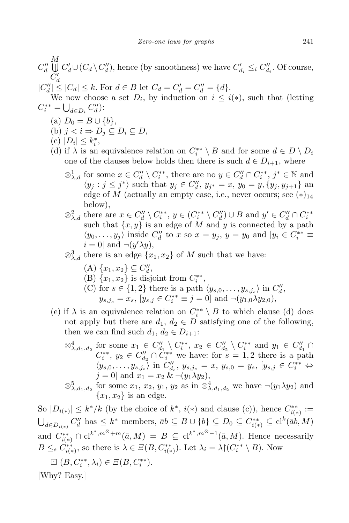*C ′*  $|C''_d| \leq |C_d| \leq k$ . For  $d \in B$  let  $C_d = C'_d = C''_d = \{d\}.$ 

We now choose a set  $D_i$ , by induction on  $i \leq i(*)$ , such that (letting  $C_i^{**} = \bigcup_{d \in D_i} C_d'$ :

- $(a)$   $D_0 = B \cup \{b\},\$
- (b)  $i < i$  ⇒  $D_i$  ⊂  $D_i$  ⊂  $D$ ,
- $|D_i| \leq k_i^*$ ,

*C ′′ d M* U

- (d) if  $\lambda$  is an equivalence relation on  $C_i^{**} \setminus B$  and for some  $d \in D \setminus D_i$ one of the clauses below holds then there is such  $d \in D_{i+1}$ , where
	- $\otimes_{\lambda,d}^1$  for some  $x \in C''_d \setminus C^{**}_i$ , there are no  $y \in C''_d \cap C^{**}_i$ ,  $j^* \in \mathbb{N}$  and  $\langle y_j : j \leq j^* \rangle$  such that  $y_j \in C''_d$ ,  $y_{j^*} = x$ ,  $y_0 = y$ ,  $\{y_j, y_{j+1}\}\$  and edge of *M* (actually an empty case, i.e., never occurs; see  $(*)_{14}$ below),
	- $\otimes_{\lambda,d}^2$  there are  $x \in C''_d \setminus C^{**}_i$ ,  $y \in (C^{**}_i \setminus C''_d) \cup B$  and  $y' \in C''_d \cap C^{**}_i$ such that  $\{x, y\}$  is an edge of *M* and *y* is connected by a path  $\langle y_0, \ldots, y_j \rangle$  inside  $C''_d$  to *x* so  $x = y_j$ ,  $y = y_0$  and  $[y_i \in C_i^{**}]$  $i = 0$  and  $\neg(y'\lambda y)$ ,
	- $\otimes_{\lambda,d}^3$  there is an edge  $\{x_1, x_2\}$  of *M* such that we have:
		- $(A) \{x_1, x_2\} \subseteq C''_d,$
		- (B)  $\{x_1, x_2\}$  is disjoint from  $C_i^{**}$ ,
		- (C) for  $s \in \{1, 2\}$  there is a path  $\langle y_{s,0}, \ldots, y_{s,j_s} \rangle$  in  $C''_d$ ,  $y_{s,j_s} = x_s$ ,  $[y_{s,j} \in C_i^{**} \equiv j = 0]$  and  $\neg(y_{1,0} \lambda y_{2,0}),$
- (e) if  $\lambda$  is an equivalence relation on  $C_i^{**} \setminus B$  to which clause (d) does not apply but there are  $d_1, d_2 \in D$  satisfying one of the following, then we can find such  $d_1, d_2 \in D_{i+1}$ :
	- $\otimes_{\lambda,d_1,d_2}^4$  for some  $x_1 \in C''_{d_1} \setminus C_i^{**}$ ,  $x_2 \in C''_{d_2} \setminus C_i^{**}$  and  $y_1 \in C''_{d_1} \cap$ *C*<sup>\*\*</sup>, *y*<sub>2</sub> ∈ *C*<sup>*u*</sup></sup><sub>*d*</sub><sub>2</sub> ∩  $\hat{C}$ <sup>\*\*</sup></sup> we have: for *s* = 1, 2 there is a path  $\langle y_{s,0}, \ldots, y_{s,j_s} \rangle$  in  $C''_{d_s}$ ,  $y_{s,j_s} = x$ ,  $y_{s,0} = y_s$ ,  $[y_{s,j} \in C_i^{**} \Leftrightarrow$  $j = 0$  and  $x_1 = x_2 \& \neg(y_1 \lambda y_2),$
	- $\otimes$ <sup>5</sup>  $\lambda$ <sub>*,d*<sub>1</sub>*,d*<sub>2</sub></sub> for some *x*<sub>1</sub>*, x*<sub>2</sub>*, y*<sub>1</sub>*, y*<sub>2</sub> as in  $\otimes$ <sup>4</sup><sub> $\lambda$ </sub>*,d*<sub>1</sub>*,d*<sub>2</sub> we have *¬*(*y*<sub>1</sub> $\lambda$ *y*<sub>2</sub>) and  ${x_1, x_2}$  is an edge.

So  $|D_{i(*)}| \leq k^*/k$  (by the choice of  $k^*, i(*)$  and clause (c)), hence  $C_{i(*)}^{**} :=$  $\bigcup_{d \in D_{i(*)}} C''_d$  has  $\leq k^*$  members,  $\bar{a}b \subseteq B \cup \{b\} \subseteq D_0 \subseteq C_{i(*)}^{**} \subseteq cl^k(\bar{a}b,M)$ and  $C_{i(*)}^{**} \cap cl^{k^*, m^{\otimes} + m}(\bar{a}, M) = B \subseteq cl^{k^*, m^{\otimes} - 1}(\bar{a}, M)$ . Hence necessarily  $B \leq_s C_{i(*)}^{**}$ , so there is  $\lambda \in \Xi(B, C_{i(*)}^{**})$ . Let  $\lambda_i = \lambda \mid (C_i^{**} \setminus B)$ . Now

 $\Box$   $(B, C_i^{**}, \lambda_i) \in E(B, C_i^{**}).$ 

[Why? Easy.]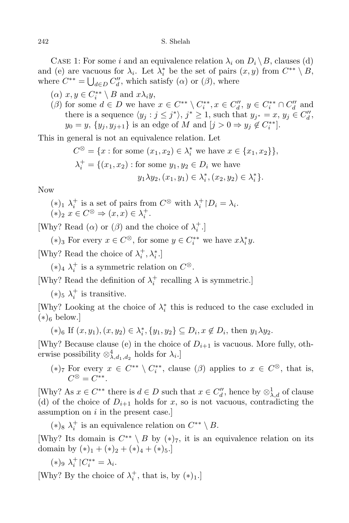CASE 1: For some *i* and an equivalence relation  $\lambda_i$  on  $D_i \setminus B$ , clauses (d) and (e) are vacuous for  $\lambda_i$ . Let  $\lambda_i^*$  be the set of pairs  $(x, y)$  from  $C^{**} \setminus B$ , where  $C^{**} = \bigcup_{d \in D} C''_d$ , which satisfy  $(\alpha)$  or  $(\beta)$ , where

- $(\alpha)$   $x, y \in C_i^{**} \setminus B$  and  $x\lambda_i y$ ,
- ( $\beta$ ) for some  $d \in D$  we have  $x \in C^{**} \setminus C_i^{**}, x \in C_d'', y \in C_i^{**} \cap C_d''$  and there is a sequence  $\langle y_j : j \leq j^* \rangle$ ,  $j^* \geq 1$ , such that  $y_{j^*} = x$ ,  $y_j \in C''_d$ ,  $y_0 = y$ ,  $\{y_j, y_{j+1}\}\$ is an edge of *M* and  $[j > 0 \Rightarrow y_j \notin C_i^{**}]$ .

This in general is not an equivalence relation. Let

$$
C^{\otimes} = \{x : \text{for some } (x_1, x_2) \in \lambda_i^* \text{ we have } x \in \{x_1, x_2\}\},\
$$

$$
\lambda_i^+ = \{(x_1, x_2) : \text{for some } y_1, y_2 \in D_i \text{ we have}
$$

$$
y_1 \lambda y_2, (x_1, y_1) \in \lambda_i^*, (x_2, y_2) \in \lambda_i^*\}.
$$

Now

 $(\ast)_1 \lambda_i^+$  is a set of pairs from  $C^{\otimes}$  with  $\lambda_i^+ \mid D_i = \lambda_i$ .  $(*)_2$   $x \in C^\otimes \Rightarrow (x, x) \in \lambda_i^+.$ 

[Why? Read  $(\alpha)$  or  $(\beta)$  and the choice of  $\lambda_i^+$ .]

 $(*)_3$  For every  $x \in C^\otimes$ , for some  $y \in C_i^{**}$  we have  $x \lambda_i^* y$ .

[Why? Read the choice of  $\lambda_i^+, \lambda_i^*$ .]

 $(*)_4$   $\lambda_i^+$  is a symmetric relation on  $C^{\otimes}$ .

[Why? Read the definition of  $\lambda_i^+$  recalling  $\lambda$  is symmetric.]

 $(*)_5 \lambda_i^+$  is transitive.

[Why? Looking at the choice of  $\lambda_i^*$  this is reduced to the case excluded in (*∗*)<sup>6</sup> below.]

 $(*)_6$  If  $(x, y_1), (x, y_2) \in \lambda_i^*, \{y_1, y_2\} \subseteq D_i, x \notin D_i$ , then  $y_1 \lambda y_2$ .

[Why? Because clause (e) in the choice of  $D_{i+1}$  is vacuous. More fully, otherwise possibility  $\otimes_{\lambda, d_1, d_2}^4$  holds for  $\lambda_i$ .]

(\*)
$$
_7
$$
 For every  $x \in C^{**} \setminus C_i^{**}$ , clause  $(\beta)$  applies to  $x \in C^{\otimes}$ , that is,  $C^{\otimes} = C^{**}$ .

[Why? As  $x \in C^{**}$  there is  $d \in D$  such that  $x \in C''_d$ , hence by  $\otimes_{\lambda, d}^1$  of clause (d) of the choice of  $D_{i+1}$  holds for *x*, so is not vacuous, contradicting the assumption on *i* in the present case.]

 $(*)_8 \lambda_i^+$  is an equivalence relation on  $C^{**} \setminus B$ .

[Why? Its domain is  $C^{**} \setminus B$  by  $(*)_7$ , it is an equivalence relation on its domain by  $(*)_1 + (*)_2 + (*)_4 + (*)_5.$ 

$$
(*)_9 \lambda_i^+ \upharpoonright C_i^{**} = \lambda_i.
$$

[Why? By the choice of  $\lambda_i^+$ , that is, by  $(*)_1$ .]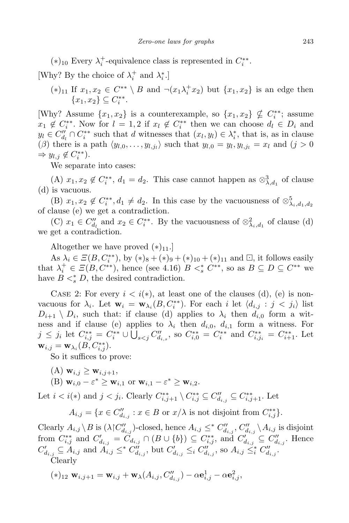$(*)$ <sub>10</sub> Every  $\lambda_i^+$ -equivalence class is represented in  $C_i^{**}$ .

[Why? By the choice of  $\lambda_i^+$  and  $\lambda_i^*$ .]

 $(*)$ <sup>11</sup> If  $x_1, x_2 \in C^{**} \setminus B$  and  $\neg(x_1 \lambda_i^+ x_2)$  but  $\{x_1, x_2\}$  is an edge then  ${x_1, x_2} \subseteq C_i^{**}.$ 

[Why? Assume  $\{x_1, x_2\}$  is a counterexample, so  $\{x_1, x_2\} \nsubseteq C_i^{**}$ ; assume  $x_1 \notin C_i^{**}$ . Now for  $l = 1, 2$  if  $x_l \notin C_i^{**}$  then we can choose  $d_l \in D_i$  and  $y_l \in C''_{d_l} \cap C^{**}_i$  such that d witnesses that  $(x_l, y_l) \in \lambda_i^*$ , that is, as in clause  $(\beta)$  there is a path  $\langle y_{l,0}, \ldots, y_{l,j_l} \rangle$  such that  $y_{l,0} = y_l, y_{l,j_l} = x_l$  and  $(j > 0)$  $\Rightarrow y_{l,j} \notin C_i^{**}$ .

We separate into cases:

(A)  $x_1, x_2 \notin C_i^{**}, d_1 = d_2$ . This case cannot happen as  $\otimes_{\lambda, d_1}^3$  of clause (d) is vacuous.

(B)  $x_1, x_2 \notin C_i^{**}, d_1 \neq d_2$ . In this case by the vacuousness of  $\otimes_{\lambda_i, d_1, d_2}^5$ of clause (e) we get a contradiction.

(C)  $x_1 \in C''_{d_l}$  and  $x_2 \in C^{**}_i$ . By the vacuousness of  $\otimes_{\lambda_i, d_1}^2$  of clause (d) we get a contradiction.

Altogether we have proved  $(*)_{11}$ .]

As  $\lambda_i \in \mathcal{Z}(B, C_i^{**})$ , by  $(*)_8 + (*)_9 + (*)_{10} + (*)_{11}$  and  $\Box$ , it follows easily that  $\lambda_i^+ \in \Xi(B, C^{**})$ , hence (see 4.16)  $B \lt s_s^* C^{**}$ , so as  $B \subseteq D \subseteq C^{**}$  we have  $B \leq_s^* D$ , the desired contradiction.

CASE 2: For every  $i < i(*)$ , at least one of the clauses (d), (e) is nonvacuous for  $\lambda_i$ . Let  $\mathbf{w}_i = \mathbf{w}_{\lambda_i}(B, C_i^{**})$ . For each *i* let  $\langle d_{i,j} : j < j_i \rangle$  list  $D_{i+1} \setminus D_i$ , such that: if clause (d) applies to  $\lambda_i$  then  $d_{i,0}$  form a witness and if clause (e) applies to  $\lambda_i$  then  $d_{i,0}$ ,  $d_{i,1}$  form a witness. For  $j \leq j_i$  let  $C_{i,j}^{**} = C_i^{**} \cup \bigcup_{s \leq j} C_{d_{i,s}}''$ , so  $C_{i,0}^{**} = C_i^{**}$  and  $C_{i,j_i}^{**} = C_{i+1}^{**}$ . Let  $\mathbf{w}_{i,j} = \mathbf{w}_{\lambda_i}(B, C^{**}_{i,j}).$ 

So it suffices to prove:

 $(A)$   $\mathbf{w}_{i,j} \geq \mathbf{w}_{i,j+1}$ 

(B) 
$$
\mathbf{w}_{i,0} - \varepsilon^* \ge \mathbf{w}_{i,1}
$$
 or  $\mathbf{w}_{i,1} - \varepsilon^* \ge \mathbf{w}_{i,2}$ .

Let  $i < i(*)$  and  $j < j_i$ . Clearly  $C_{i,j+1}^{**} \setminus C_{i,j}^{**} \subseteq C_{d_{i,j}}'' \subseteq C_{i,j+1}^{**}$ . Let

 $A_{i,j} = \{x \in C''_{d_{i,j}} : x \in B \text{ or } x/\lambda \text{ is not disjoint from } C^{**}_{i,j}\}.$ 

Clearly  $A_{i,j} \setminus B$  is  $(\lambda \restriction C''_{d_{i,j}})$ -closed, hence  $A_{i,j} \leq^* C''_{d_{i,j}}$ ,  $C''_{d_{i,j}} \setminus A_{i,j}$  is disjoint from  $C_{i,j}^{**}$  and  $C_{d_{i,j}}' = \tilde{C}_{d_{i,j}} \cap (B \cup \{b\}) \subseteq C_{i,j}^{**}$ , and  $C_{d_{i,j}}' \subseteq C_{d_{i,j}}''$ . Hence  $C'_{d_{i,j}} \subseteq A_{i,j}$  and  $A_{i,j} \leq^* C''_{d_{i,j}}$ , but  $C'_{d_{i,j}} \leq_i C''_{d_{i,j}}$ , so  $A_{i,j} \leq^*_i C''_{d_{i,j}}$ . Clearly

$$
(*)_{12} \mathbf{w}_{i,j+1} = \mathbf{w}_{i,j} + \mathbf{w}_{\lambda}(A_{i,j}, C''_{d_{i,j}}) - \alpha \mathbf{e}_{i,j}^1 - \alpha \mathbf{e}_{i,j}^2,
$$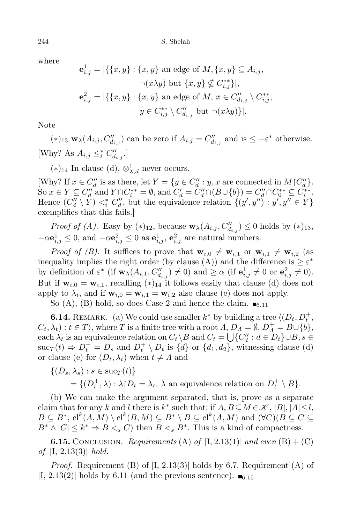where

$$
\mathbf{e}_{i,j}^1 = |\{\{x, y\} : \{x, y\} \text{ an edge of } M, \{x, y\} \subseteq A_{i,j},
$$
  

$$
\neg(x\lambda y) \text{ but } \{x, y\} \nsubseteq C_{i,j}^{**}\}|,
$$
  

$$
\mathbf{e}_{i,j}^2 = |\{\{x, y\} : \{x, y\} \text{ an edge of } M, x \in C_{d_{i,j}}'' \setminus C_{i,j}^{**},
$$
  

$$
y \in C_{i,j}^{**} \setminus C_{d_{i,j}}'' \text{ but } \neg(x\lambda y)\}|.
$$

Note

 $(*)$ <sub>13</sub>  $\mathbf{w}_{\lambda}(A_{i,j}, C''_{d_{i,j}})$  can be zero if  $A_{i,j} = C''_{d_{i,j}}$  and is  $\leq -\varepsilon^*$  otherwise. [Why? As  $A_{i,j} \leq_i^* C''_{d_{i,j}}$ .]

(*∗*)<sup>14</sup> In clause (d), *⊗*<sup>1</sup> *λ,d* never occurs.

[Why? If  $x \in C''_d$  is as there, let  $Y = \{y \in C''_d : y, x \text{ are connected in } M \mid C''_d\}.$ So  $x \in Y \subseteq C''_d$  and  $Y \cap C_i^{**} = \emptyset$ , and  $C'_d = C''_d \cap (B \cup \{b\}) = C''_d \cap C_0^{**} \subseteq C_i^{**}$ . Hence  $(C''_d \setminus Y) <^*_i C''_d$ , but the equivalence relation  $\{(y', y'') : y', y'' \in Y\}$ exemplifies that this fails.]

*Proof of (A).* Easy by  $(*)_{12}$ , because  $\mathbf{w}_{\lambda}(A_{i,j}, C''_{d_{i,j}}) \leq 0$  holds by  $(*)_{13}$ ,  $-\alpha \mathbf{e}_{i,j}^1 \leq 0$ , and  $-\alpha \mathbf{e}_{i,j}^2 \leq 0$  as  $\mathbf{e}_{i,j}^1$ ,  $\mathbf{e}_{i,j}^2$  are natural numbers.

*Proof of (B).* It suffices to prove that  $\mathbf{w}_{i,0} \neq \mathbf{w}_{i,1}$  or  $\mathbf{w}_{i,1} \neq \mathbf{w}_{i,2}$  (as inequality implies the right order (by clause (A)) and the difference is  $\geq \varepsilon^*$ by definition of  $\varepsilon^*$  (if  $\mathbf{w}_{\lambda}(A_{i,1}, C''_{d_{i,j}}) \neq 0$ ) and  $\geq \alpha$  (if  $\mathbf{e}^1_{i,j} \neq 0$  or  $\mathbf{e}^2_{i,j} \neq 0$ ). But if  $\mathbf{w}_{i,0} = \mathbf{w}_{i,1}$ , recalling  $(*)_{14}$  it follows easily that clause (d) does not apply to  $\lambda_i$ , and if  $\mathbf{w}_{i,0} = \mathbf{w}_{i,1} = \mathbf{w}_{i,2}$  also clause (e) does not apply.

So  $(A)$ ,  $(B)$  hold, so does Case 2 and hence the claim.  $\blacksquare_{6,11}$ 

**6.14.** Remark. (a) We could use smaller *k <sup>∗</sup>* by building a tree *h*(*Dt, D*<sup>+</sup> *t ,*  $C_t, \lambda_t$ ) :  $t \in T$ , where *T* is a finite tree with a root  $\Lambda$ ,  $D_A = \emptyset$ ,  $D_A^+ = B \cup \{b\}$ , each  $\lambda_t$  is an equivalence relation on  $C_t \setminus B$  and  $C_t = \bigcup \{C''_d : d \in D_t\} \cup B$ ,  $s \in$  $\text{succ}_{T}(t) \Rightarrow D_{t}^{+} = D_{s}$  and  $D_{t}^{+} \setminus D_{t}$  is  $\{d\}$  or  $\{d_{1}, d_{2}\}$ , witnessing clause (d) or clause (e) for  $(D_t, \lambda_t)$  when  $t \neq \Lambda$  and

$$
\{(D_s, \lambda_s) : s \in \text{sur}_T(t)\}
$$
  
=  $\{(D_t^+, \lambda) : \lambda \upharpoonright D_t = \lambda_t, \lambda \text{ an equivalence relation on } D_t^+ \setminus B\}.$ 

(b) We can make the argument separated, that is, prove as a separate claim that for any *k* and *l* there is  $k^*$  such that: if  $A, B \subseteq M \in \mathcal{K}, |B|, |A| \leq l$ ,  $B \subseteq B^*,$   $\mathrm{cl}^k(A, M) \setminus \mathrm{cl}^k(B, M) \subseteq B^* \setminus B \subseteq \mathrm{cl}^k(A, M)$  and  $(\forall C)(B \subseteq C \subseteq$  $B^* \wedge |C| \leq k^* \Rightarrow B \leq_s C$  then  $B \leq_s B^*$ . This is a kind of compactness.

**6.15.** CONCLUSION. *Requirements* (A) *of* [I, 2.13(1)] *and even* (B) + (C) *of* [I, 2.13(3)] *hold.*

*Proof.* Requirement (B) of  $[I, 2.13(3)]$  holds by 6.7. Requirement (A) of [I, 2.13(2)] holds by 6.11 (and the previous sentence).  $\blacksquare$ <sub>6.15</sub>